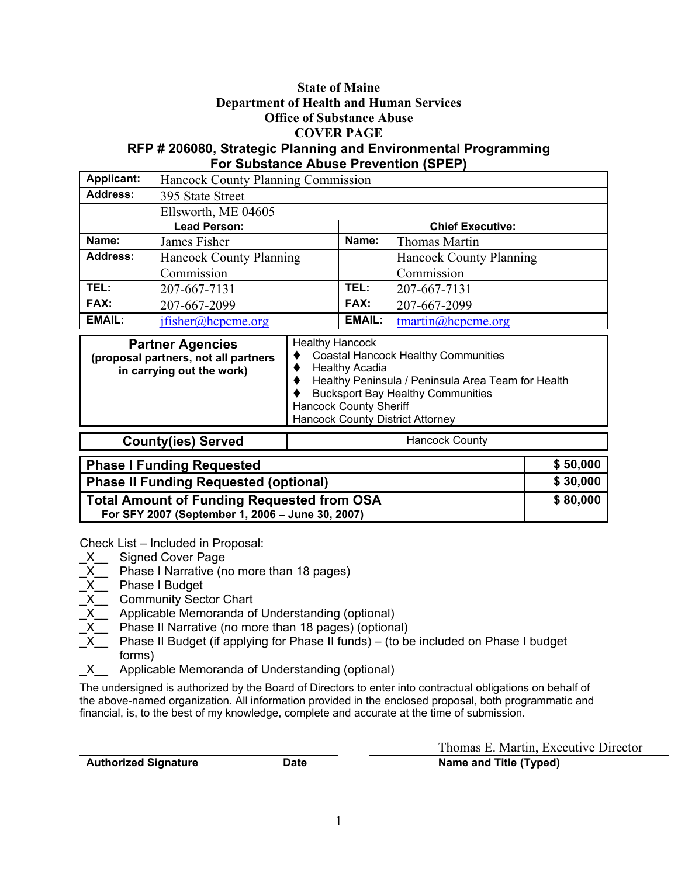### State of Maine Department of Health and Human Services Office of Substance Abuse COVER PAGE RFP # 206080, Strategic Planning and Environmental Programming

#### For Substance Abuse Prevention (SPEP) Applicant: Hancock County Planning Commission Address: 395 State Street Ellsworth, ME 04605 **Chief Executive:** Name: James Fisher Name: Thomas Martin Address: Hancock County Planning Commission Hancock County Planning Commission TEL:  $207-667-7131$  TEL:  $207-667-7131$ <br>FAX:  $207-667-2099$  FAX:  $207-667-2099$ FAX: 207-667-2099 FAX: 207-667-2099<br>EMAIL: ifisher@honome.org EMAIL: tmartin@honor EMAIL: jfisher@hcpcme.org EMAIL: tmartin@hcpcme.org

| <b>Partner Agencies</b><br>(proposal partners, not all partners<br>in carrying out the work) | <b>Healthy Hancock</b><br><b>Coastal Hancock Healthy Communities</b><br><b>Healthy Acadia</b><br>Healthy Peninsula / Peninsula Area Team for Health<br><b>Bucksport Bay Healthy Communities</b><br><b>Hancock County Sheriff</b><br><b>Hancock County District Attorney</b> |
|----------------------------------------------------------------------------------------------|-----------------------------------------------------------------------------------------------------------------------------------------------------------------------------------------------------------------------------------------------------------------------------|
| <b>County(ies) Served</b>                                                                    | <b>Hancock County</b>                                                                                                                                                                                                                                                       |

| <b>Phase I Funding Requested</b>                  | \$50,000 |
|---------------------------------------------------|----------|
| <b>Phase II Funding Requested (optional)</b>      | \$30,000 |
| <b>Total Amount of Funding Requested from OSA</b> | \$80,000 |
| For SFY 2007 (September 1, 2006 - June 30, 2007)  |          |

Check List – Included in Proposal:

- \_X\_\_ Signed Cover Page
- $\overline{X}$  Phase I Narrative (no more than 18 pages)
- \_X\_\_ Phase I Budget
- Community Sector Chart
- Applicable Memoranda of Understanding (optional)
- Phase II Narrative (no more than 18 pages) (optional)
- Phase II Budget (if applying for Phase II funds) (to be included on Phase I budget forms)
- $X$  Applicable Memoranda of Understanding (optional)

The undersigned is authorized by the Board of Directors to enter into contractual obligations on behalf of the above-named organization. All information provided in the enclosed proposal, both programmatic and financial, is, to the best of my knowledge, complete and accurate at the time of submission.

Thomas E. Martin, Executive Director Authorized Signature **Date** Date **Name and Title (Typed)**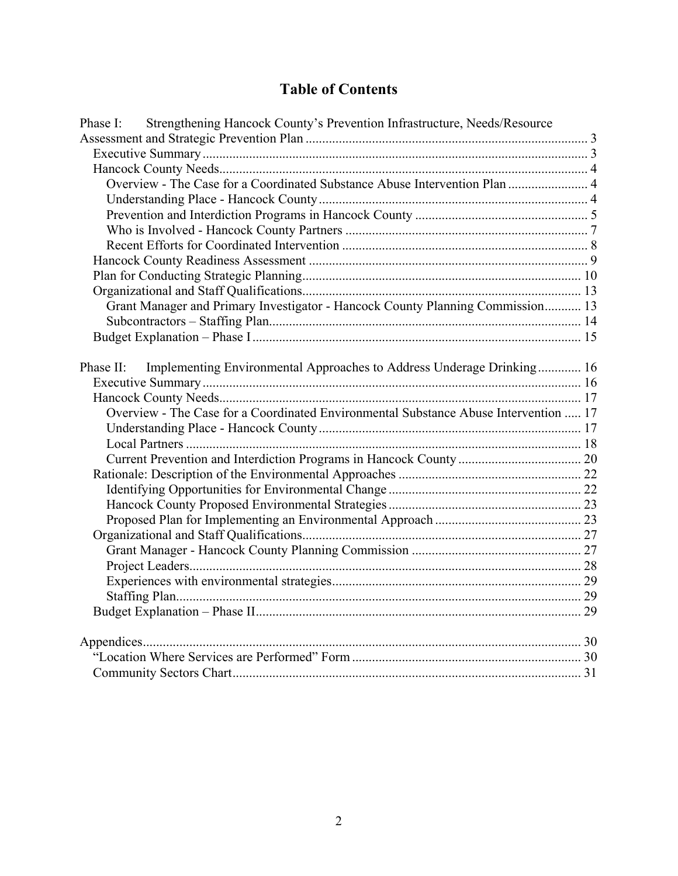# Table of Contents

| Phase I: Strengthening Hancock County's Prevention Infrastructure, Needs/Resource    |  |
|--------------------------------------------------------------------------------------|--|
|                                                                                      |  |
|                                                                                      |  |
|                                                                                      |  |
| Overview - The Case for a Coordinated Substance Abuse Intervention Plan  4           |  |
|                                                                                      |  |
|                                                                                      |  |
|                                                                                      |  |
|                                                                                      |  |
|                                                                                      |  |
|                                                                                      |  |
|                                                                                      |  |
| Grant Manager and Primary Investigator - Hancock County Planning Commission 13       |  |
|                                                                                      |  |
|                                                                                      |  |
|                                                                                      |  |
| Implementing Environmental Approaches to Address Underage Drinking 16<br>Phase II:   |  |
|                                                                                      |  |
|                                                                                      |  |
| Overview - The Case for a Coordinated Environmental Substance Abuse Intervention  17 |  |
|                                                                                      |  |
|                                                                                      |  |
|                                                                                      |  |
|                                                                                      |  |
|                                                                                      |  |
|                                                                                      |  |
|                                                                                      |  |
|                                                                                      |  |
|                                                                                      |  |
|                                                                                      |  |
|                                                                                      |  |
|                                                                                      |  |
|                                                                                      |  |
|                                                                                      |  |
|                                                                                      |  |
|                                                                                      |  |
|                                                                                      |  |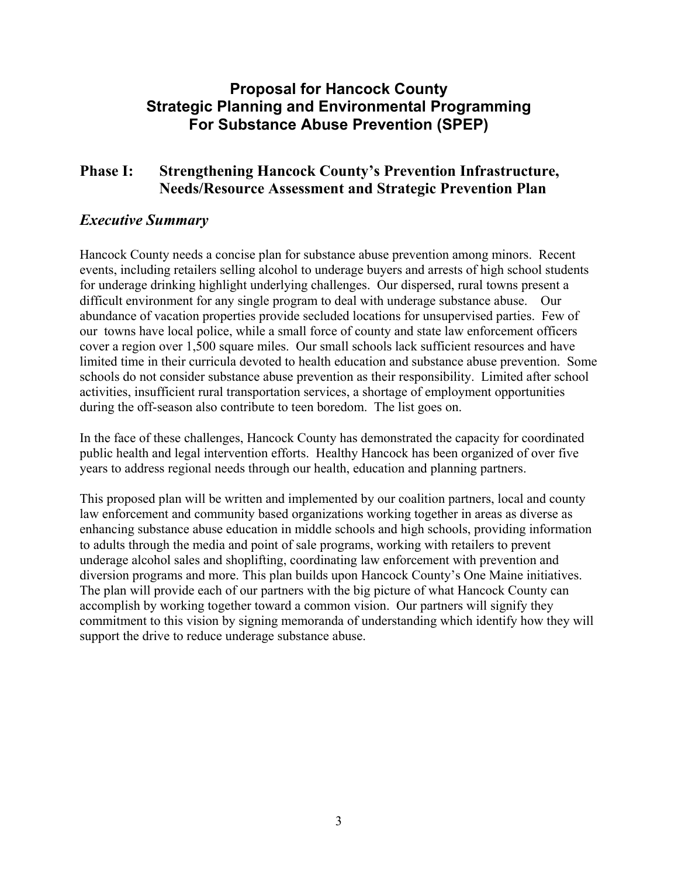# Proposal for Hancock County Strategic Planning and Environmental Programming For Substance Abuse Prevention (SPEP)

### Phase I: Strengthening Hancock County's Prevention Infrastructure, Needs/Resource Assessment and Strategic Prevention Plan

### Executive Summary

Hancock County needs a concise plan for substance abuse prevention among minors. Recent events, including retailers selling alcohol to underage buyers and arrests of high school students for underage drinking highlight underlying challenges. Our dispersed, rural towns present a difficult environment for any single program to deal with underage substance abuse. Our abundance of vacation properties provide secluded locations for unsupervised parties. Few of our towns have local police, while a small force of county and state law enforcement officers cover a region over 1,500 square miles. Our small schools lack sufficient resources and have limited time in their curricula devoted to health education and substance abuse prevention. Some schools do not consider substance abuse prevention as their responsibility. Limited after school activities, insufficient rural transportation services, a shortage of employment opportunities during the off-season also contribute to teen boredom. The list goes on.

In the face of these challenges, Hancock County has demonstrated the capacity for coordinated public health and legal intervention efforts. Healthy Hancock has been organized of over five years to address regional needs through our health, education and planning partners.

This proposed plan will be written and implemented by our coalition partners, local and county law enforcement and community based organizations working together in areas as diverse as enhancing substance abuse education in middle schools and high schools, providing information to adults through the media and point of sale programs, working with retailers to prevent underage alcohol sales and shoplifting, coordinating law enforcement with prevention and diversion programs and more. This plan builds upon Hancock County's One Maine initiatives. The plan will provide each of our partners with the big picture of what Hancock County can accomplish by working together toward a common vision. Our partners will signify they commitment to this vision by signing memoranda of understanding which identify how they will support the drive to reduce underage substance abuse.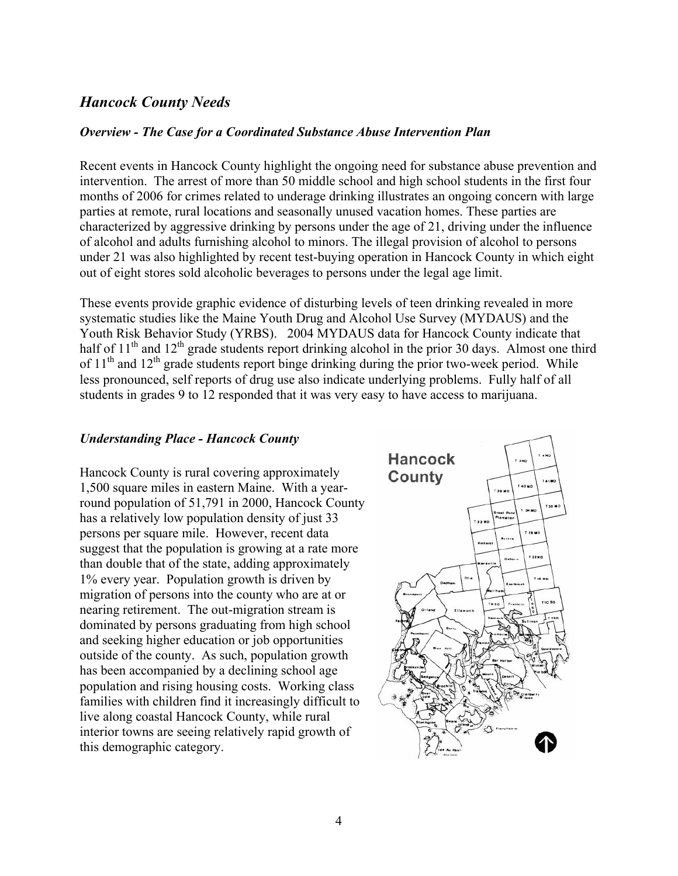### Hancock County Needs

#### Overview - The Case for a Coordinated Substance Abuse Intervention Plan

Recent events in Hancock County highlight the ongoing need for substance abuse prevention and intervention. The arrest of more than 50 middle school and high school students in the first four months of 2006 for crimes related to underage drinking illustrates an ongoing concern with large parties at remote, rural locations and seasonally unused vacation homes. These parties are characterized by aggressive drinking by persons under the age of 21, driving under the influence of alcohol and adults furnishing alcohol to minors. The illegal provision of alcohol to persons under 21 was also highlighted by recent test-buying operation in Hancock County in which eight out of eight stores sold alcoholic beverages to persons under the legal age limit.

These events provide graphic evidence of disturbing levels of teen drinking revealed in more systematic studies like the Maine Youth Drug and Alcohol Use Survey (MYDAUS) and the Youth Risk Behavior Study (YRBS). 2004 MYDAUS data for Hancock County indicate that half of  $11<sup>th</sup>$  and  $12<sup>th</sup>$  grade students report drinking alcohol in the prior 30 days. Almost one third of  $11<sup>th</sup>$  and  $12<sup>th</sup>$  grade students report binge drinking during the prior two-week period. While less pronounced, self reports of drug use also indicate underlying problems. Fully half of all students in grades 9 to 12 responded that it was very easy to have access to marijuana.

#### Understanding Place - Hancock County

Hancock County is rural covering approximately 1,500 square miles in eastern Maine. With a yearround population of 51,791 in 2000, Hancock County has a relatively low population density of just 33 persons per square mile. However, recent data suggest that the population is growing at a rate more than double that of the state, adding approximately 1% every year. Population growth is driven by migration of persons into the county who are at or nearing retirement. The out-migration stream is dominated by persons graduating from high school and seeking higher education or job opportunities outside of the county. As such, population growth has been accompanied by a declining school age population and rising housing costs. Working class families with children find it increasingly difficult to live along coastal Hancock County, while rural interior towns are seeing relatively rapid growth of this demographic category.

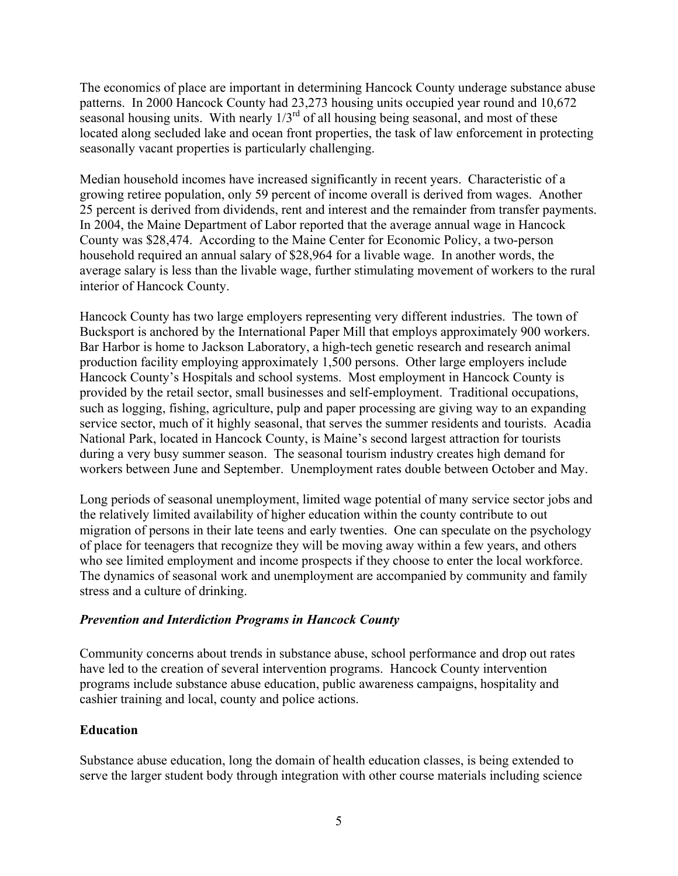The economics of place are important in determining Hancock County underage substance abuse patterns. In 2000 Hancock County had 23,273 housing units occupied year round and 10,672 seasonal housing units. With nearly  $1/3<sup>rd</sup>$  of all housing being seasonal, and most of these located along secluded lake and ocean front properties, the task of law enforcement in protecting seasonally vacant properties is particularly challenging.

Median household incomes have increased significantly in recent years. Characteristic of a growing retiree population, only 59 percent of income overall is derived from wages. Another 25 percent is derived from dividends, rent and interest and the remainder from transfer payments. In 2004, the Maine Department of Labor reported that the average annual wage in Hancock County was \$28,474. According to the Maine Center for Economic Policy, a two-person household required an annual salary of \$28,964 for a livable wage. In another words, the average salary is less than the livable wage, further stimulating movement of workers to the rural interior of Hancock County.

Hancock County has two large employers representing very different industries. The town of Bucksport is anchored by the International Paper Mill that employs approximately 900 workers. Bar Harbor is home to Jackson Laboratory, a high-tech genetic research and research animal production facility employing approximately 1,500 persons. Other large employers include Hancock County's Hospitals and school systems. Most employment in Hancock County is provided by the retail sector, small businesses and self-employment. Traditional occupations, such as logging, fishing, agriculture, pulp and paper processing are giving way to an expanding service sector, much of it highly seasonal, that serves the summer residents and tourists. Acadia National Park, located in Hancock County, is Maine's second largest attraction for tourists during a very busy summer season. The seasonal tourism industry creates high demand for workers between June and September. Unemployment rates double between October and May.

Long periods of seasonal unemployment, limited wage potential of many service sector jobs and the relatively limited availability of higher education within the county contribute to out migration of persons in their late teens and early twenties. One can speculate on the psychology of place for teenagers that recognize they will be moving away within a few years, and others who see limited employment and income prospects if they choose to enter the local workforce. The dynamics of seasonal work and unemployment are accompanied by community and family stress and a culture of drinking.

### Prevention and Interdiction Programs in Hancock County

Community concerns about trends in substance abuse, school performance and drop out rates have led to the creation of several intervention programs. Hancock County intervention programs include substance abuse education, public awareness campaigns, hospitality and cashier training and local, county and police actions.

### Education

Substance abuse education, long the domain of health education classes, is being extended to serve the larger student body through integration with other course materials including science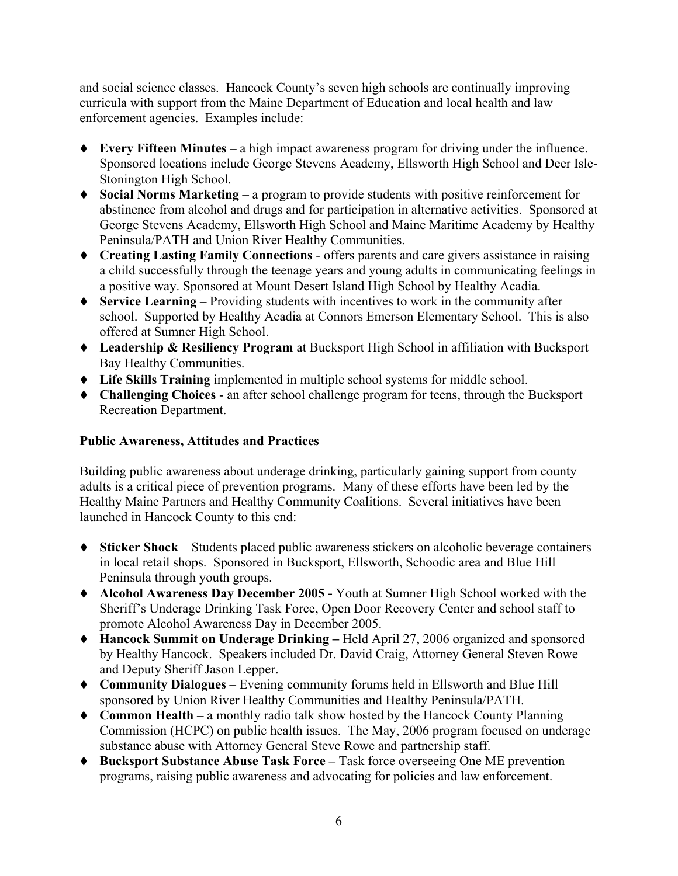and social science classes. Hancock County's seven high schools are continually improving curricula with support from the Maine Department of Education and local health and law enforcement agencies. Examples include:

- $\blacklozenge$  Every Fifteen Minutes a high impact awareness program for driving under the influence. Sponsored locations include George Stevens Academy, Ellsworth High School and Deer Isle-Stonington High School.
- $\blacklozenge$  Social Norms Marketing a program to provide students with positive reinforcement for abstinence from alcohol and drugs and for participation in alternative activities. Sponsored at George Stevens Academy, Ellsworth High School and Maine Maritime Academy by Healthy Peninsula/PATH and Union River Healthy Communities.
- Creating Lasting Family Connections offers parents and care givers assistance in raising a child successfully through the teenage years and young adults in communicating feelings in a positive way. Sponsored at Mount Desert Island High School by Healthy Acadia.
- $\blacklozenge$  Service Learning Providing students with incentives to work in the community after school. Supported by Healthy Acadia at Connors Emerson Elementary School. This is also offered at Sumner High School.
- ◆ Leadership & Resiliency Program at Bucksport High School in affiliation with Bucksport Bay Healthy Communities.
- Life Skills Training implemented in multiple school systems for middle school.
- Challenging Choices an after school challenge program for teens, through the Bucksport Recreation Department.

### Public Awareness, Attitudes and Practices

Building public awareness about underage drinking, particularly gaining support from county adults is a critical piece of prevention programs. Many of these efforts have been led by the Healthy Maine Partners and Healthy Community Coalitions. Several initiatives have been launched in Hancock County to this end:

- Sticker Shock Students placed public awareness stickers on alcoholic beverage containers in local retail shops. Sponsored in Bucksport, Ellsworth, Schoodic area and Blue Hill Peninsula through youth groups.
- Alcohol Awareness Day December 2005 Youth at Sumner High School worked with the Sheriff's Underage Drinking Task Force, Open Door Recovery Center and school staff to promote Alcohol Awareness Day in December 2005.
- Hancock Summit on Underage Drinking Held April 27, 2006 organized and sponsored by Healthy Hancock. Speakers included Dr. David Craig, Attorney General Steven Rowe and Deputy Sheriff Jason Lepper.
- Community Dialogues Evening community forums held in Ellsworth and Blue Hill sponsored by Union River Healthy Communities and Healthy Peninsula/PATH.
- ◆ Common Health a monthly radio talk show hosted by the Hancock County Planning Commission (HCPC) on public health issues. The May, 2006 program focused on underage substance abuse with Attorney General Steve Rowe and partnership staff.
- ◆ Bucksport Substance Abuse Task Force Task force overseeing One ME prevention programs, raising public awareness and advocating for policies and law enforcement.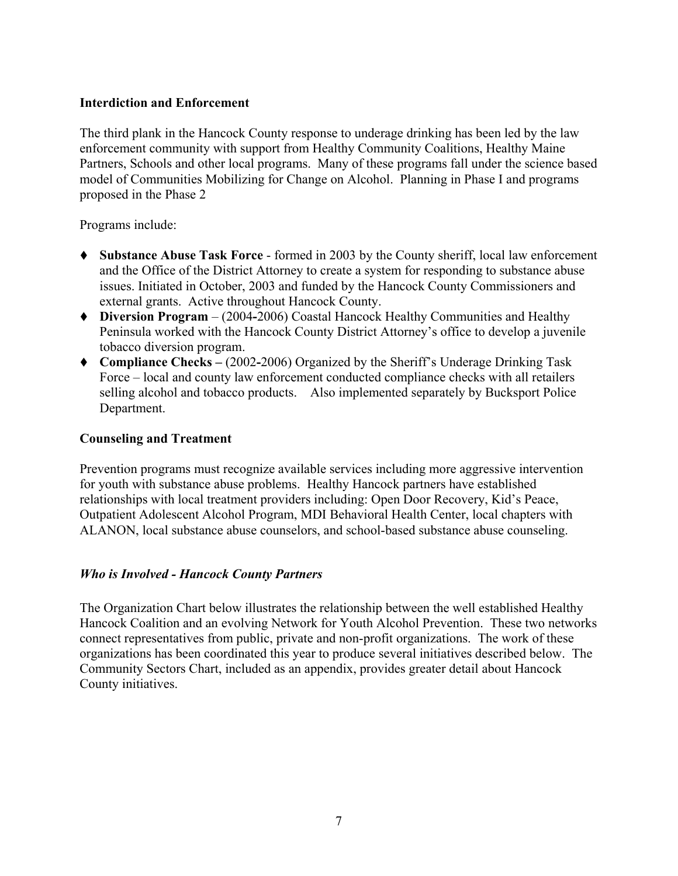#### Interdiction and Enforcement

The third plank in the Hancock County response to underage drinking has been led by the law enforcement community with support from Healthy Community Coalitions, Healthy Maine Partners, Schools and other local programs. Many of these programs fall under the science based model of Communities Mobilizing for Change on Alcohol. Planning in Phase I and programs proposed in the Phase 2

Programs include:

- Substance Abuse Task Force formed in 2003 by the County sheriff, local law enforcement and the Office of the District Attorney to create a system for responding to substance abuse issues. Initiated in October, 2003 and funded by the Hancock County Commissioners and external grants. Active throughout Hancock County.
- Diversion Program (2004-2006) Coastal Hancock Healthy Communities and Healthy Peninsula worked with the Hancock County District Attorney's office to develop a juvenile tobacco diversion program.
- Compliance Checks (2002-2006) Organized by the Sheriff's Underage Drinking Task Force – local and county law enforcement conducted compliance checks with all retailers selling alcohol and tobacco products. Also implemented separately by Bucksport Police Department.

#### Counseling and Treatment

Prevention programs must recognize available services including more aggressive intervention for youth with substance abuse problems. Healthy Hancock partners have established relationships with local treatment providers including: Open Door Recovery, Kid's Peace, Outpatient Adolescent Alcohol Program, MDI Behavioral Health Center, local chapters with ALANON, local substance abuse counselors, and school-based substance abuse counseling.

#### Who is Involved - Hancock County Partners

The Organization Chart below illustrates the relationship between the well established Healthy Hancock Coalition and an evolving Network for Youth Alcohol Prevention. These two networks connect representatives from public, private and non-profit organizations. The work of these organizations has been coordinated this year to produce several initiatives described below. The Community Sectors Chart, included as an appendix, provides greater detail about Hancock County initiatives.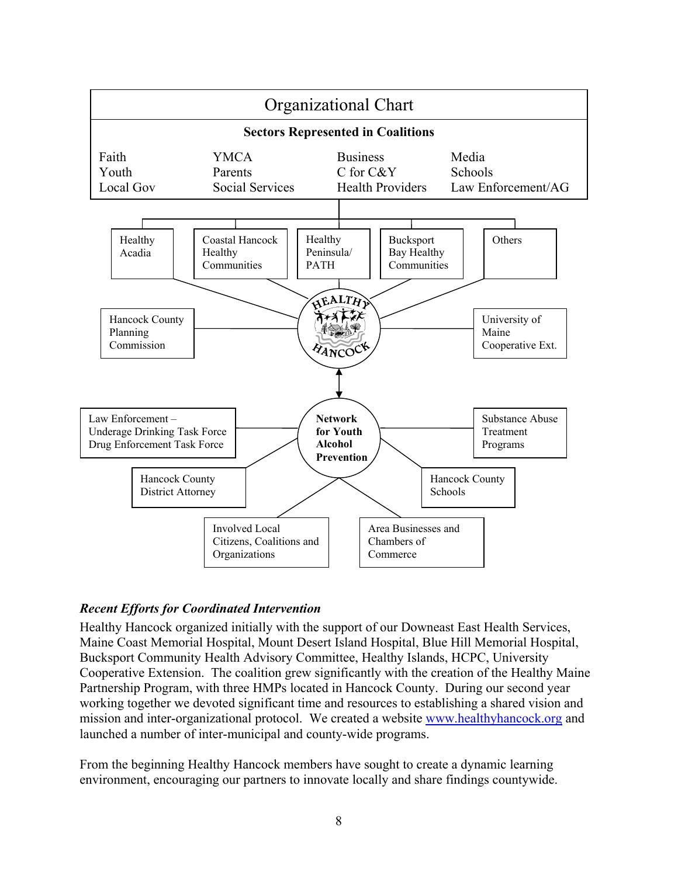

### Recent Efforts for Coordinated Intervention

Healthy Hancock organized initially with the support of our Downeast East Health Services, Maine Coast Memorial Hospital, Mount Desert Island Hospital, Blue Hill Memorial Hospital, Bucksport Community Health Advisory Committee, Healthy Islands, HCPC, University Cooperative Extension. The coalition grew significantly with the creation of the Healthy Maine Partnership Program, with three HMPs located in Hancock County. During our second year working together we devoted significant time and resources to establishing a shared vision and mission and inter-organizational protocol. We created a website www.healthyhancock.org and launched a number of inter-municipal and county-wide programs.

From the beginning Healthy Hancock members have sought to create a dynamic learning environment, encouraging our partners to innovate locally and share findings countywide.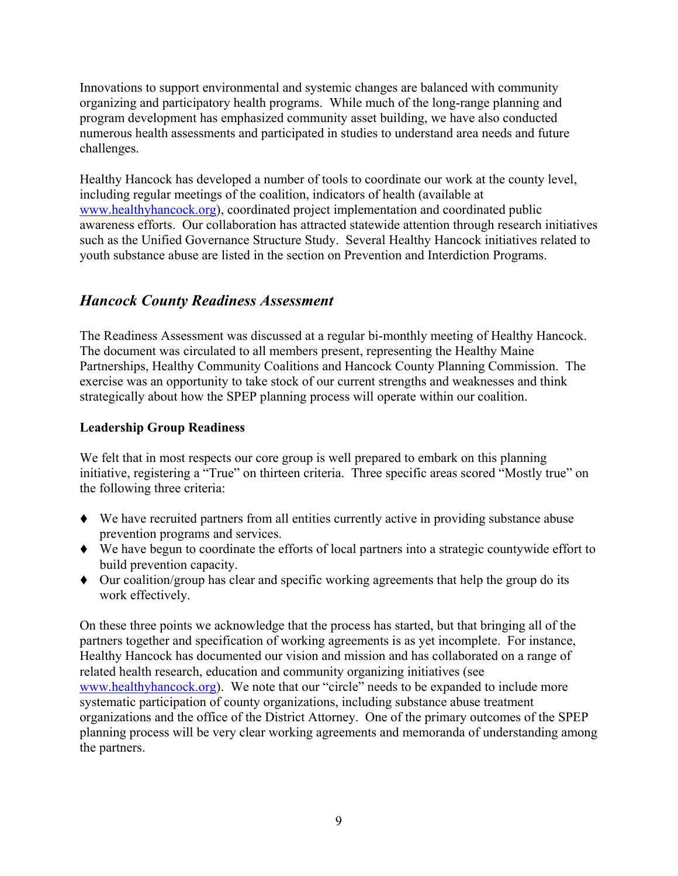Innovations to support environmental and systemic changes are balanced with community organizing and participatory health programs. While much of the long-range planning and program development has emphasized community asset building, we have also conducted numerous health assessments and participated in studies to understand area needs and future challenges.

Healthy Hancock has developed a number of tools to coordinate our work at the county level, including regular meetings of the coalition, indicators of health (available at www.healthyhancock.org), coordinated project implementation and coordinated public awareness efforts. Our collaboration has attracted statewide attention through research initiatives such as the Unified Governance Structure Study. Several Healthy Hancock initiatives related to youth substance abuse are listed in the section on Prevention and Interdiction Programs.

### Hancock County Readiness Assessment

The Readiness Assessment was discussed at a regular bi-monthly meeting of Healthy Hancock. The document was circulated to all members present, representing the Healthy Maine Partnerships, Healthy Community Coalitions and Hancock County Planning Commission. The exercise was an opportunity to take stock of our current strengths and weaknesses and think strategically about how the SPEP planning process will operate within our coalition.

### Leadership Group Readiness

We felt that in most respects our core group is well prepared to embark on this planning initiative, registering a "True" on thirteen criteria. Three specific areas scored "Mostly true" on the following three criteria:

- We have recruited partners from all entities currently active in providing substance abuse prevention programs and services.
- We have begun to coordinate the efforts of local partners into a strategic countywide effort to build prevention capacity.
- Our coalition/group has clear and specific working agreements that help the group do its work effectively.

On these three points we acknowledge that the process has started, but that bringing all of the partners together and specification of working agreements is as yet incomplete. For instance, Healthy Hancock has documented our vision and mission and has collaborated on a range of related health research, education and community organizing initiatives (see www.healthyhancock.org). We note that our "circle" needs to be expanded to include more systematic participation of county organizations, including substance abuse treatment organizations and the office of the District Attorney. One of the primary outcomes of the SPEP planning process will be very clear working agreements and memoranda of understanding among the partners.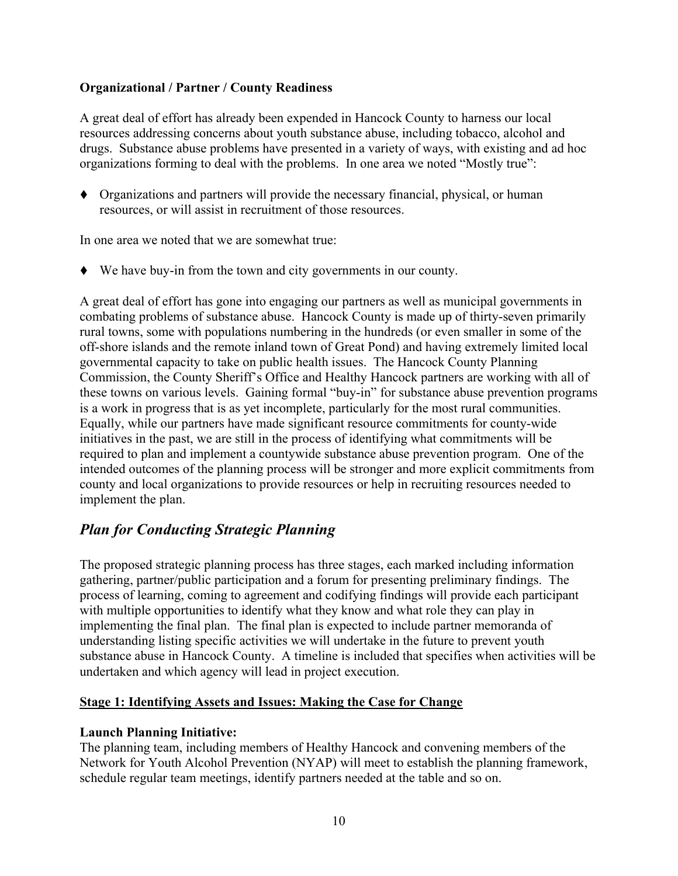### Organizational / Partner / County Readiness

A great deal of effort has already been expended in Hancock County to harness our local resources addressing concerns about youth substance abuse, including tobacco, alcohol and drugs. Substance abuse problems have presented in a variety of ways, with existing and ad hoc organizations forming to deal with the problems. In one area we noted "Mostly true":

 Organizations and partners will provide the necessary financial, physical, or human resources, or will assist in recruitment of those resources.

In one area we noted that we are somewhat true:

We have buy-in from the town and city governments in our county.

A great deal of effort has gone into engaging our partners as well as municipal governments in combating problems of substance abuse. Hancock County is made up of thirty-seven primarily rural towns, some with populations numbering in the hundreds (or even smaller in some of the off-shore islands and the remote inland town of Great Pond) and having extremely limited local governmental capacity to take on public health issues. The Hancock County Planning Commission, the County Sheriff's Office and Healthy Hancock partners are working with all of these towns on various levels. Gaining formal "buy-in" for substance abuse prevention programs is a work in progress that is as yet incomplete, particularly for the most rural communities. Equally, while our partners have made significant resource commitments for county-wide initiatives in the past, we are still in the process of identifying what commitments will be required to plan and implement a countywide substance abuse prevention program. One of the intended outcomes of the planning process will be stronger and more explicit commitments from county and local organizations to provide resources or help in recruiting resources needed to implement the plan.

### Plan for Conducting Strategic Planning

The proposed strategic planning process has three stages, each marked including information gathering, partner/public participation and a forum for presenting preliminary findings. The process of learning, coming to agreement and codifying findings will provide each participant with multiple opportunities to identify what they know and what role they can play in implementing the final plan. The final plan is expected to include partner memoranda of understanding listing specific activities we will undertake in the future to prevent youth substance abuse in Hancock County. A timeline is included that specifies when activities will be undertaken and which agency will lead in project execution.

### Stage 1: Identifying Assets and Issues: Making the Case for Change

### Launch Planning Initiative:

The planning team, including members of Healthy Hancock and convening members of the Network for Youth Alcohol Prevention (NYAP) will meet to establish the planning framework, schedule regular team meetings, identify partners needed at the table and so on.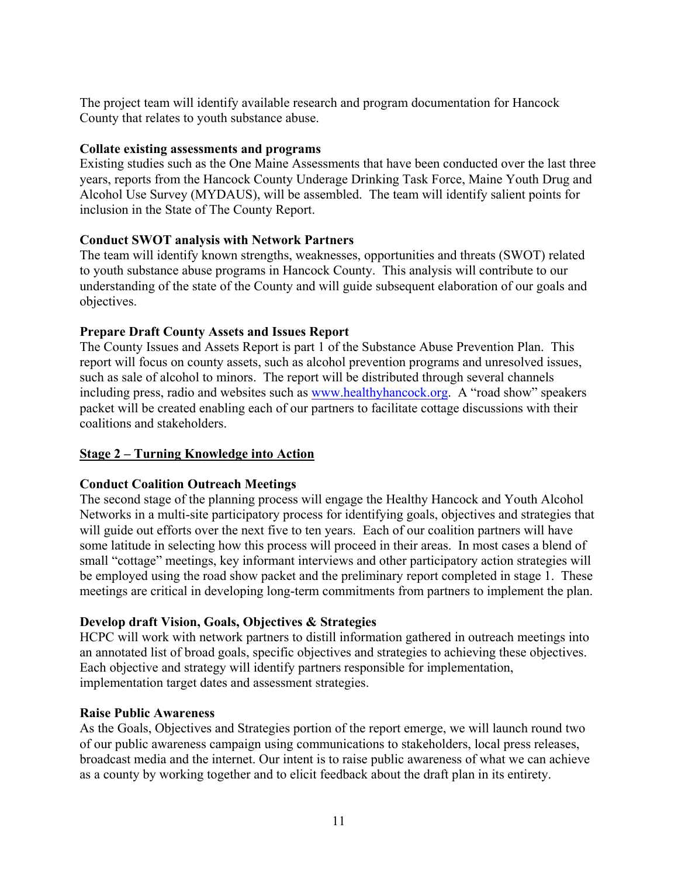The project team will identify available research and program documentation for Hancock County that relates to youth substance abuse.

#### Collate existing assessments and programs

Existing studies such as the One Maine Assessments that have been conducted over the last three years, reports from the Hancock County Underage Drinking Task Force, Maine Youth Drug and Alcohol Use Survey (MYDAUS), will be assembled. The team will identify salient points for inclusion in the State of The County Report.

### Conduct SWOT analysis with Network Partners

The team will identify known strengths, weaknesses, opportunities and threats (SWOT) related to youth substance abuse programs in Hancock County. This analysis will contribute to our understanding of the state of the County and will guide subsequent elaboration of our goals and objectives.

### Prepare Draft County Assets and Issues Report

The County Issues and Assets Report is part 1 of the Substance Abuse Prevention Plan. This report will focus on county assets, such as alcohol prevention programs and unresolved issues, such as sale of alcohol to minors. The report will be distributed through several channels including press, radio and websites such as www.healthyhancock.org. A "road show" speakers packet will be created enabling each of our partners to facilitate cottage discussions with their coalitions and stakeholders.

### Stage 2 – Turning Knowledge into Action

### Conduct Coalition Outreach Meetings

The second stage of the planning process will engage the Healthy Hancock and Youth Alcohol Networks in a multi-site participatory process for identifying goals, objectives and strategies that will guide out efforts over the next five to ten years. Each of our coalition partners will have some latitude in selecting how this process will proceed in their areas. In most cases a blend of small "cottage" meetings, key informant interviews and other participatory action strategies will be employed using the road show packet and the preliminary report completed in stage 1. These meetings are critical in developing long-term commitments from partners to implement the plan.

### Develop draft Vision, Goals, Objectives & Strategies

HCPC will work with network partners to distill information gathered in outreach meetings into an annotated list of broad goals, specific objectives and strategies to achieving these objectives. Each objective and strategy will identify partners responsible for implementation, implementation target dates and assessment strategies.

### Raise Public Awareness

As the Goals, Objectives and Strategies portion of the report emerge, we will launch round two of our public awareness campaign using communications to stakeholders, local press releases, broadcast media and the internet. Our intent is to raise public awareness of what we can achieve as a county by working together and to elicit feedback about the draft plan in its entirety.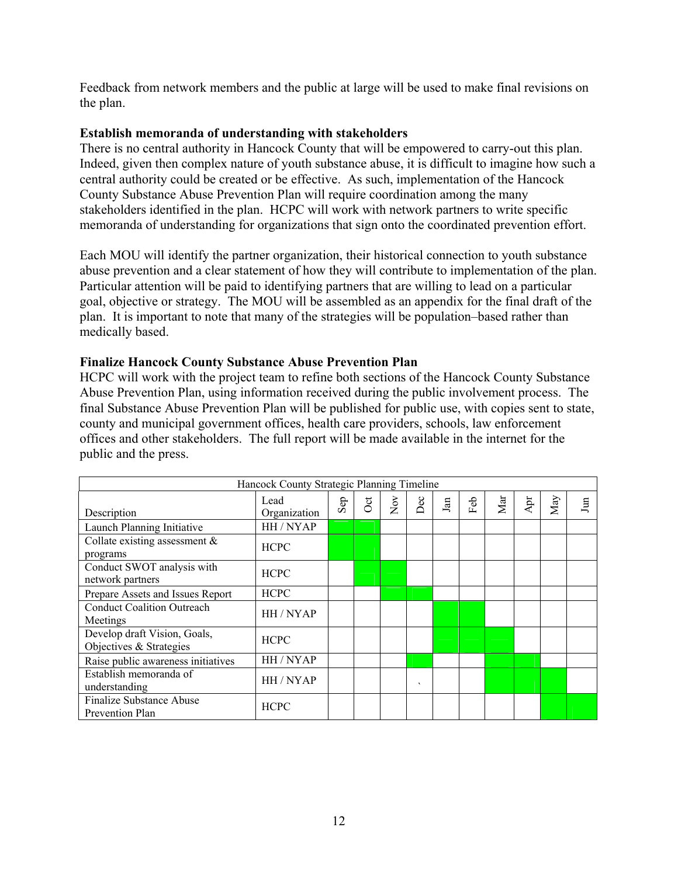Feedback from network members and the public at large will be used to make final revisions on the plan.

#### Establish memoranda of understanding with stakeholders

There is no central authority in Hancock County that will be empowered to carry-out this plan. Indeed, given then complex nature of youth substance abuse, it is difficult to imagine how such a central authority could be created or be effective. As such, implementation of the Hancock County Substance Abuse Prevention Plan will require coordination among the many stakeholders identified in the plan. HCPC will work with network partners to write specific memoranda of understanding for organizations that sign onto the coordinated prevention effort.

Each MOU will identify the partner organization, their historical connection to youth substance abuse prevention and a clear statement of how they will contribute to implementation of the plan. Particular attention will be paid to identifying partners that are willing to lead on a particular goal, objective or strategy. The MOU will be assembled as an appendix for the final draft of the plan. It is important to note that many of the strategies will be population–based rather than medically based.

#### Finalize Hancock County Substance Abuse Prevention Plan

HCPC will work with the project team to refine both sections of the Hancock County Substance Abuse Prevention Plan, using information received during the public involvement process. The final Substance Abuse Prevention Plan will be published for public use, with copies sent to state, county and municipal government offices, health care providers, schools, law enforcement offices and other stakeholders. The full report will be made available in the internet for the public and the press.

| Hancock County Strategic Planning Timeline              |                      |           |                       |            |         |            |         |     |             |     |     |
|---------------------------------------------------------|----------------------|-----------|-----------------------|------------|---------|------------|---------|-----|-------------|-----|-----|
| Description                                             | Lead<br>Organization | $\rm Sep$ | $\overline{\text{C}}$ | $\rm{Nov}$ | Dec     | $\rm{Jan}$ | Ъъ<br>Œ | Mar | $\Delta$ pr | May | Jun |
| Launch Planning Initiative                              | HH / NYAP            |           |                       |            |         |            |         |     |             |     |     |
| Collate existing assessment $\&$<br>programs            | <b>HCPC</b>          |           |                       |            |         |            |         |     |             |     |     |
| Conduct SWOT analysis with<br>network partners          | <b>HCPC</b>          |           |                       |            |         |            |         |     |             |     |     |
| Prepare Assets and Issues Report                        | <b>HCPC</b>          |           |                       |            |         |            |         |     |             |     |     |
| <b>Conduct Coalition Outreach</b><br>Meetings           | HH / NYAP            |           |                       |            |         |            |         |     |             |     |     |
| Develop draft Vision, Goals,<br>Objectives & Strategies | <b>HCPC</b>          |           |                       |            |         |            |         |     |             |     |     |
| Raise public awareness initiatives                      | HH / NYAP            |           |                       |            |         |            |         |     |             |     |     |
| Establish memoranda of<br>understanding                 | HH/NYAP              |           |                       |            | $\cdot$ |            |         |     |             |     |     |
| <b>Finalize Substance Abuse</b><br>Prevention Plan      | <b>HCPC</b>          |           |                       |            |         |            |         |     |             |     |     |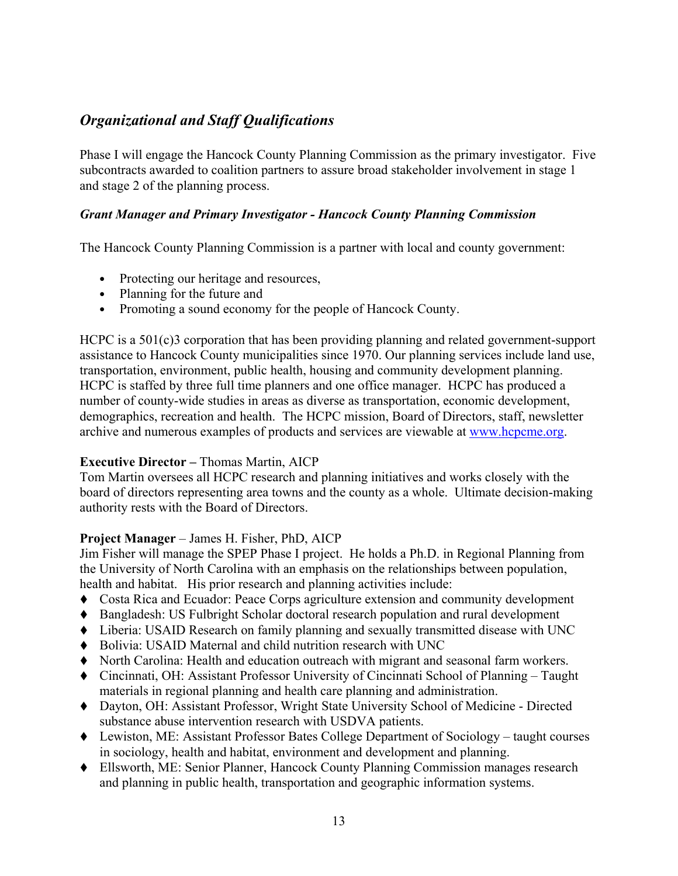# Organizational and Staff Qualifications

Phase I will engage the Hancock County Planning Commission as the primary investigator. Five subcontracts awarded to coalition partners to assure broad stakeholder involvement in stage 1 and stage 2 of the planning process.

### Grant Manager and Primary Investigator - Hancock County Planning Commission

The Hancock County Planning Commission is a partner with local and county government:

- Protecting our heritage and resources,
- Planning for the future and
- Promoting a sound economy for the people of Hancock County.

HCPC is a 501(c)3 corporation that has been providing planning and related government-support assistance to Hancock County municipalities since 1970. Our planning services include land use, transportation, environment, public health, housing and community development planning. HCPC is staffed by three full time planners and one office manager. HCPC has produced a number of county-wide studies in areas as diverse as transportation, economic development, demographics, recreation and health. The HCPC mission, Board of Directors, staff, newsletter archive and numerous examples of products and services are viewable at www.hcpcme.org.

### Executive Director – Thomas Martin, AICP

Tom Martin oversees all HCPC research and planning initiatives and works closely with the board of directors representing area towns and the county as a whole. Ultimate decision-making authority rests with the Board of Directors.

### Project Manager – James H. Fisher, PhD, AICP

Jim Fisher will manage the SPEP Phase I project. He holds a Ph.D. in Regional Planning from the University of North Carolina with an emphasis on the relationships between population, health and habitat. His prior research and planning activities include:

- Costa Rica and Ecuador: Peace Corps agriculture extension and community development
- Bangladesh: US Fulbright Scholar doctoral research population and rural development
- Liberia: USAID Research on family planning and sexually transmitted disease with UNC
- Bolivia: USAID Maternal and child nutrition research with UNC
- North Carolina: Health and education outreach with migrant and seasonal farm workers.
- Cincinnati, OH: Assistant Professor University of Cincinnati School of Planning Taught materials in regional planning and health care planning and administration.
- Dayton, OH: Assistant Professor, Wright State University School of Medicine Directed substance abuse intervention research with USDVA patients.
- Lewiston, ME: Assistant Professor Bates College Department of Sociology taught courses in sociology, health and habitat, environment and development and planning.
- Ellsworth, ME: Senior Planner, Hancock County Planning Commission manages research and planning in public health, transportation and geographic information systems.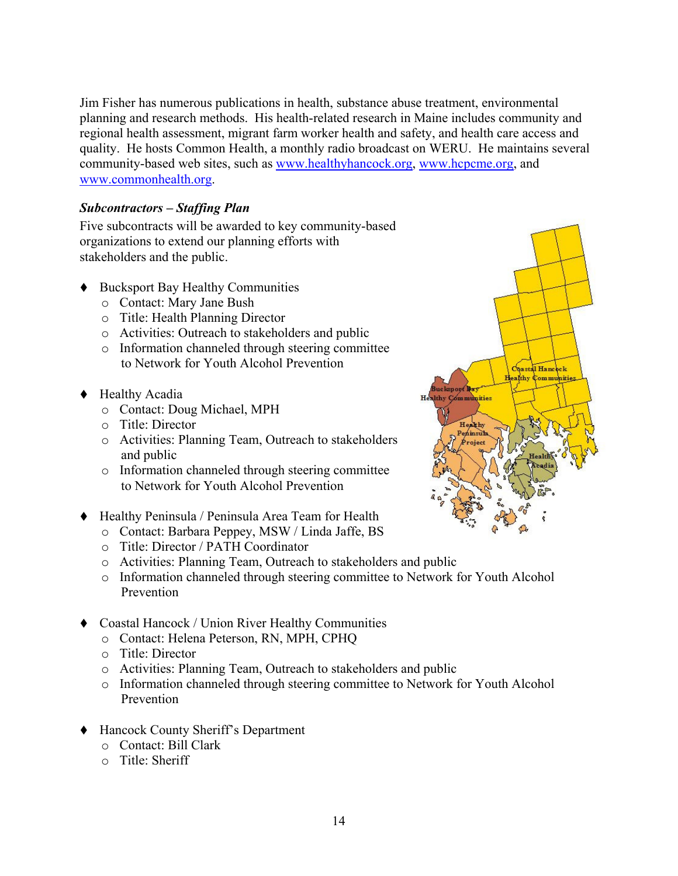Jim Fisher has numerous publications in health, substance abuse treatment, environmental planning and research methods. His health-related research in Maine includes community and regional health assessment, migrant farm worker health and safety, and health care access and quality. He hosts Common Health, a monthly radio broadcast on WERU. He maintains several community-based web sites, such as www.healthyhancock.org, www.hcpcme.org, and www.commonhealth.org.

### Subcontractors – Staffing Plan

Five subcontracts will be awarded to key community-based organizations to extend our planning efforts with stakeholders and the public.

- Bucksport Bay Healthy Communities
	- o Contact: Mary Jane Bush
	- o Title: Health Planning Director
	- o Activities: Outreach to stakeholders and public
	- o Information channeled through steering committee to Network for Youth Alcohol Prevention
- ◆ Healthy Acadia
	- o Contact: Doug Michael, MPH
	- o Title: Director
	- o Activities: Planning Team, Outreach to stakeholders and public
	- o Information channeled through steering committee to Network for Youth Alcohol Prevention
- Healthy Peninsula / Peninsula Area Team for Health
	- o Contact: Barbara Peppey, MSW / Linda Jaffe, BS
	- o Title: Director / PATH Coordinator
	- o Activities: Planning Team, Outreach to stakeholders and public
	- o Information channeled through steering committee to Network for Youth Alcohol Prevention
- Coastal Hancock / Union River Healthy Communities
	- o Contact: Helena Peterson, RN, MPH, CPHQ
	- o Title: Director
	- o Activities: Planning Team, Outreach to stakeholders and public
	- o Information channeled through steering committee to Network for Youth Alcohol Prevention
- Hancock County Sheriff's Department
	- o Contact: Bill Clark
	- o Title: Sheriff

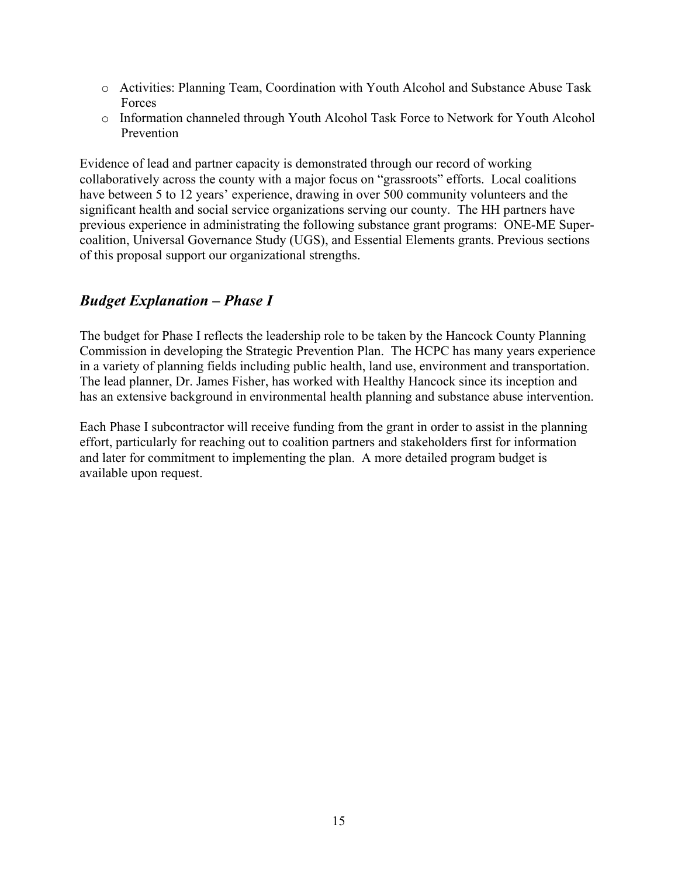- o Activities: Planning Team, Coordination with Youth Alcohol and Substance Abuse Task **Forces**
- o Information channeled through Youth Alcohol Task Force to Network for Youth Alcohol Prevention

Evidence of lead and partner capacity is demonstrated through our record of working collaboratively across the county with a major focus on "grassroots" efforts. Local coalitions have between 5 to 12 years' experience, drawing in over 500 community volunteers and the significant health and social service organizations serving our county. The HH partners have previous experience in administrating the following substance grant programs: ONE-ME Supercoalition, Universal Governance Study (UGS), and Essential Elements grants. Previous sections of this proposal support our organizational strengths.

### Budget Explanation – Phase I

The budget for Phase I reflects the leadership role to be taken by the Hancock County Planning Commission in developing the Strategic Prevention Plan. The HCPC has many years experience in a variety of planning fields including public health, land use, environment and transportation. The lead planner, Dr. James Fisher, has worked with Healthy Hancock since its inception and has an extensive background in environmental health planning and substance abuse intervention.

Each Phase I subcontractor will receive funding from the grant in order to assist in the planning effort, particularly for reaching out to coalition partners and stakeholders first for information and later for commitment to implementing the plan. A more detailed program budget is available upon request.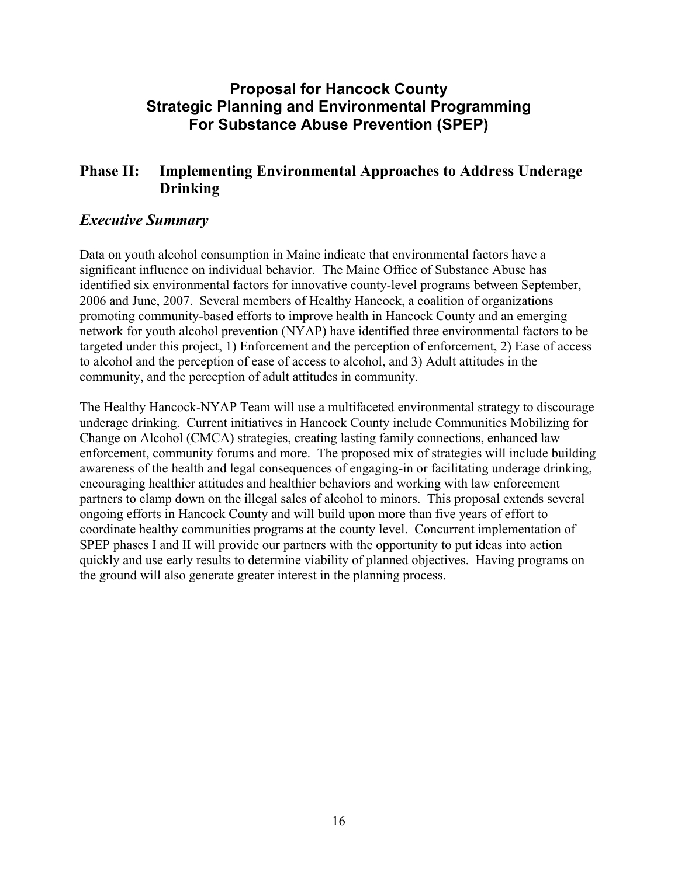# Proposal for Hancock County Strategic Planning and Environmental Programming For Substance Abuse Prevention (SPEP)

### Phase II: Implementing Environmental Approaches to Address Underage Drinking

### Executive Summary

Data on youth alcohol consumption in Maine indicate that environmental factors have a significant influence on individual behavior. The Maine Office of Substance Abuse has identified six environmental factors for innovative county-level programs between September, 2006 and June, 2007. Several members of Healthy Hancock, a coalition of organizations promoting community-based efforts to improve health in Hancock County and an emerging network for youth alcohol prevention (NYAP) have identified three environmental factors to be targeted under this project, 1) Enforcement and the perception of enforcement, 2) Ease of access to alcohol and the perception of ease of access to alcohol, and 3) Adult attitudes in the community, and the perception of adult attitudes in community.

The Healthy Hancock-NYAP Team will use a multifaceted environmental strategy to discourage underage drinking. Current initiatives in Hancock County include Communities Mobilizing for Change on Alcohol (CMCA) strategies, creating lasting family connections, enhanced law enforcement, community forums and more. The proposed mix of strategies will include building awareness of the health and legal consequences of engaging-in or facilitating underage drinking, encouraging healthier attitudes and healthier behaviors and working with law enforcement partners to clamp down on the illegal sales of alcohol to minors. This proposal extends several ongoing efforts in Hancock County and will build upon more than five years of effort to coordinate healthy communities programs at the county level. Concurrent implementation of SPEP phases I and II will provide our partners with the opportunity to put ideas into action quickly and use early results to determine viability of planned objectives. Having programs on the ground will also generate greater interest in the planning process.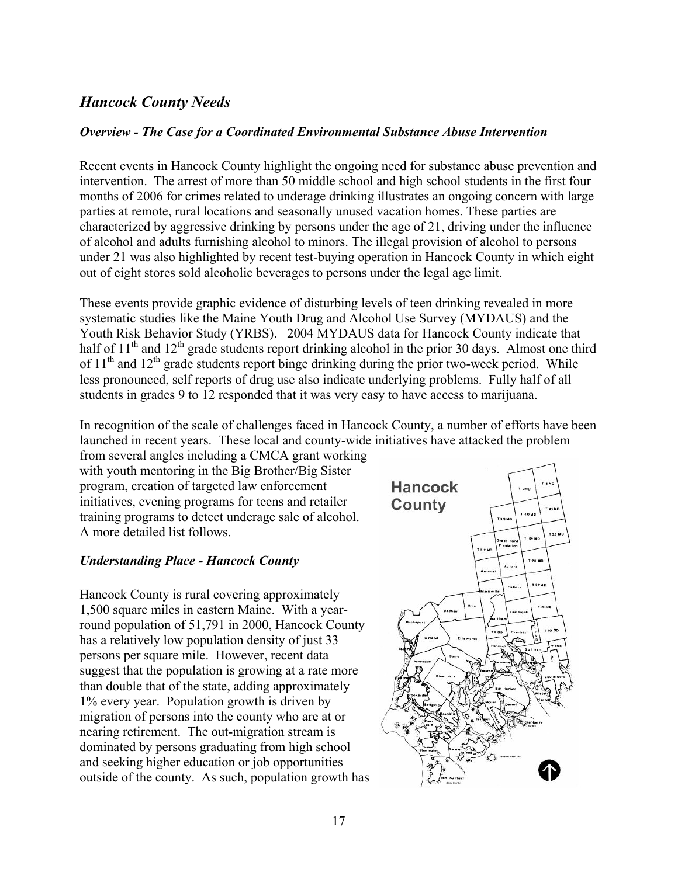### Hancock County Needs

#### Overview - The Case for a Coordinated Environmental Substance Abuse Intervention

Recent events in Hancock County highlight the ongoing need for substance abuse prevention and intervention. The arrest of more than 50 middle school and high school students in the first four months of 2006 for crimes related to underage drinking illustrates an ongoing concern with large parties at remote, rural locations and seasonally unused vacation homes. These parties are characterized by aggressive drinking by persons under the age of 21, driving under the influence of alcohol and adults furnishing alcohol to minors. The illegal provision of alcohol to persons under 21 was also highlighted by recent test-buying operation in Hancock County in which eight out of eight stores sold alcoholic beverages to persons under the legal age limit.

These events provide graphic evidence of disturbing levels of teen drinking revealed in more systematic studies like the Maine Youth Drug and Alcohol Use Survey (MYDAUS) and the Youth Risk Behavior Study (YRBS). 2004 MYDAUS data for Hancock County indicate that half of  $11<sup>th</sup>$  and  $12<sup>th</sup>$  grade students report drinking alcohol in the prior 30 days. Almost one third of  $11<sup>th</sup>$  and  $12<sup>th</sup>$  grade students report binge drinking during the prior two-week period. While less pronounced, self reports of drug use also indicate underlying problems. Fully half of all students in grades 9 to 12 responded that it was very easy to have access to marijuana.

In recognition of the scale of challenges faced in Hancock County, a number of efforts have been launched in recent years. These local and county-wide initiatives have attacked the problem

from several angles including a CMCA grant working with youth mentoring in the Big Brother/Big Sister program, creation of targeted law enforcement initiatives, evening programs for teens and retailer training programs to detect underage sale of alcohol. A more detailed list follows.

### Understanding Place - Hancock County

Hancock County is rural covering approximately 1,500 square miles in eastern Maine. With a yearround population of 51,791 in 2000, Hancock County has a relatively low population density of just 33 persons per square mile. However, recent data suggest that the population is growing at a rate more than double that of the state, adding approximately 1% every year. Population growth is driven by migration of persons into the county who are at or nearing retirement. The out-migration stream is dominated by persons graduating from high school and seeking higher education or job opportunities outside of the county. As such, population growth has

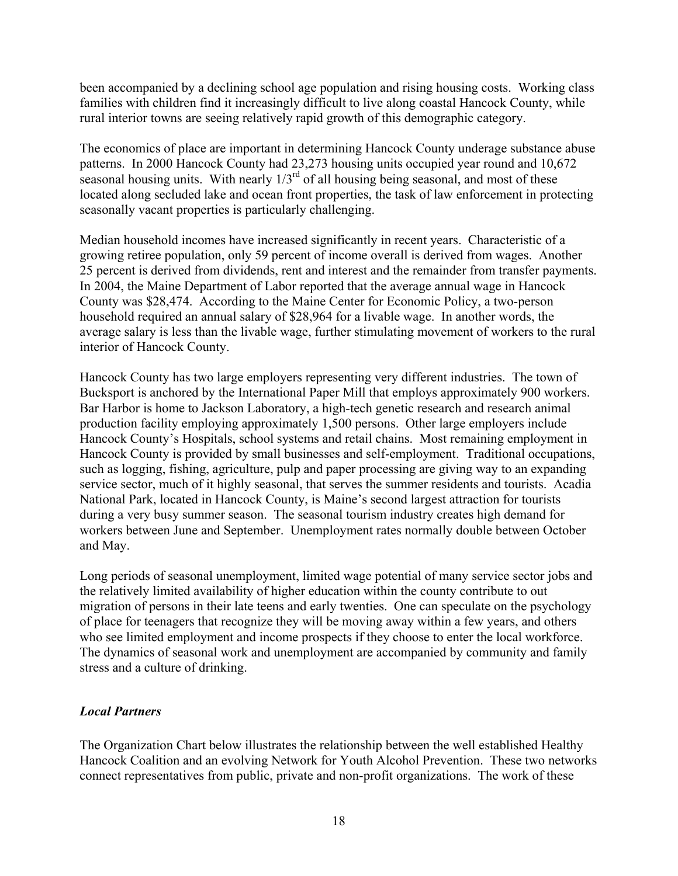been accompanied by a declining school age population and rising housing costs. Working class families with children find it increasingly difficult to live along coastal Hancock County, while rural interior towns are seeing relatively rapid growth of this demographic category.

The economics of place are important in determining Hancock County underage substance abuse patterns. In 2000 Hancock County had 23,273 housing units occupied year round and 10,672 seasonal housing units. With nearly  $1/3<sup>rd</sup>$  of all housing being seasonal, and most of these located along secluded lake and ocean front properties, the task of law enforcement in protecting seasonally vacant properties is particularly challenging.

Median household incomes have increased significantly in recent years. Characteristic of a growing retiree population, only 59 percent of income overall is derived from wages. Another 25 percent is derived from dividends, rent and interest and the remainder from transfer payments. In 2004, the Maine Department of Labor reported that the average annual wage in Hancock County was \$28,474. According to the Maine Center for Economic Policy, a two-person household required an annual salary of \$28,964 for a livable wage. In another words, the average salary is less than the livable wage, further stimulating movement of workers to the rural interior of Hancock County.

Hancock County has two large employers representing very different industries. The town of Bucksport is anchored by the International Paper Mill that employs approximately 900 workers. Bar Harbor is home to Jackson Laboratory, a high-tech genetic research and research animal production facility employing approximately 1,500 persons. Other large employers include Hancock County's Hospitals, school systems and retail chains. Most remaining employment in Hancock County is provided by small businesses and self-employment. Traditional occupations, such as logging, fishing, agriculture, pulp and paper processing are giving way to an expanding service sector, much of it highly seasonal, that serves the summer residents and tourists. Acadia National Park, located in Hancock County, is Maine's second largest attraction for tourists during a very busy summer season. The seasonal tourism industry creates high demand for workers between June and September. Unemployment rates normally double between October and May.

Long periods of seasonal unemployment, limited wage potential of many service sector jobs and the relatively limited availability of higher education within the county contribute to out migration of persons in their late teens and early twenties. One can speculate on the psychology of place for teenagers that recognize they will be moving away within a few years, and others who see limited employment and income prospects if they choose to enter the local workforce. The dynamics of seasonal work and unemployment are accompanied by community and family stress and a culture of drinking.

### Local Partners

The Organization Chart below illustrates the relationship between the well established Healthy Hancock Coalition and an evolving Network for Youth Alcohol Prevention. These two networks connect representatives from public, private and non-profit organizations. The work of these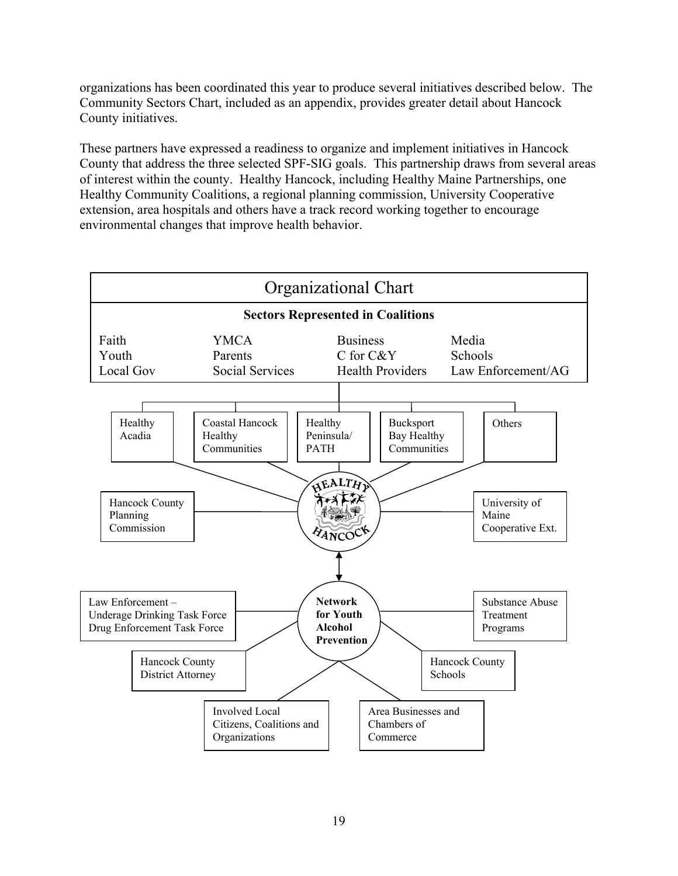organizations has been coordinated this year to produce several initiatives described below. The Community Sectors Chart, included as an appendix, provides greater detail about Hancock County initiatives.

These partners have expressed a readiness to organize and implement initiatives in Hancock County that address the three selected SPF-SIG goals. This partnership draws from several areas of interest within the county. Healthy Hancock, including Healthy Maine Partnerships, one Healthy Community Coalitions, a regional planning commission, University Cooperative extension, area hospitals and others have a track record working together to encourage environmental changes that improve health behavior.

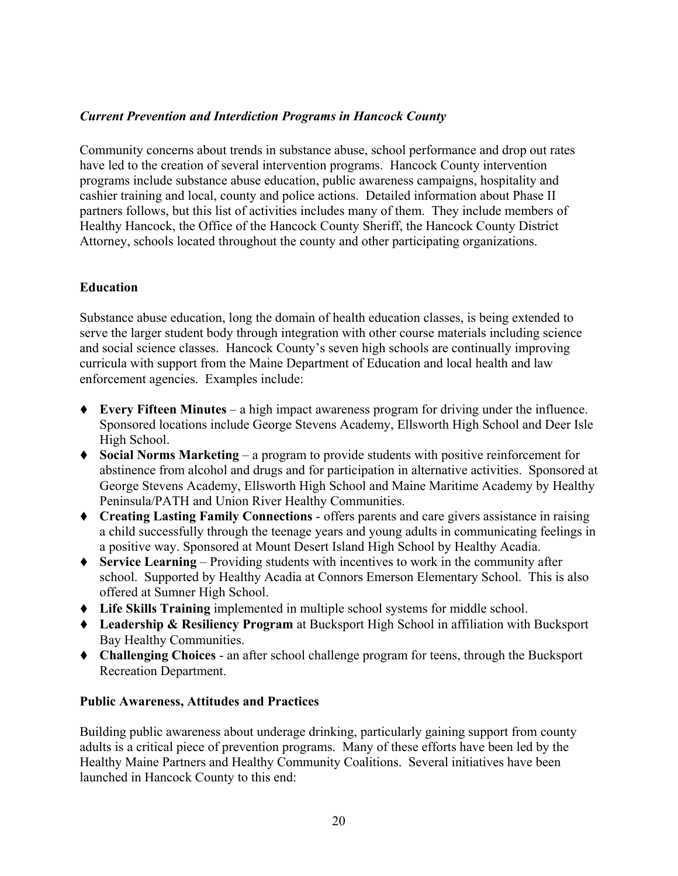### Current Prevention and Interdiction Programs in Hancock County

Community concerns about trends in substance abuse, school performance and drop out rates have led to the creation of several intervention programs. Hancock County intervention programs include substance abuse education, public awareness campaigns, hospitality and cashier training and local, county and police actions. Detailed information about Phase II partners follows, but this list of activities includes many of them. They include members of Healthy Hancock, the Office of the Hancock County Sheriff, the Hancock County District Attorney, schools located throughout the county and other participating organizations.

### Education

Substance abuse education, long the domain of health education classes, is being extended to serve the larger student body through integration with other course materials including science and social science classes. Hancock County's seven high schools are continually improving curricula with support from the Maine Department of Education and local health and law enforcement agencies. Examples include:

- $\blacklozenge$  Every Fifteen Minutes a high impact awareness program for driving under the influence. Sponsored locations include George Stevens Academy, Ellsworth High School and Deer Isle High School.
- Social Norms Marketing a program to provide students with positive reinforcement for abstinence from alcohol and drugs and for participation in alternative activities. Sponsored at George Stevens Academy, Ellsworth High School and Maine Maritime Academy by Healthy Peninsula/PATH and Union River Healthy Communities.
- Creating Lasting Family Connections offers parents and care givers assistance in raising a child successfully through the teenage years and young adults in communicating feelings in a positive way. Sponsored at Mount Desert Island High School by Healthy Acadia.
- $\blacklozenge$  Service Learning Providing students with incentives to work in the community after school. Supported by Healthy Acadia at Connors Emerson Elementary School. This is also offered at Sumner High School.
- Life Skills Training implemented in multiple school systems for middle school.
- ◆ Leadership & Resiliency Program at Bucksport High School in affiliation with Bucksport Bay Healthy Communities.
- Challenging Choices an after school challenge program for teens, through the Bucksport Recreation Department.

#### Public Awareness, Attitudes and Practices

Building public awareness about underage drinking, particularly gaining support from county adults is a critical piece of prevention programs. Many of these efforts have been led by the Healthy Maine Partners and Healthy Community Coalitions. Several initiatives have been launched in Hancock County to this end: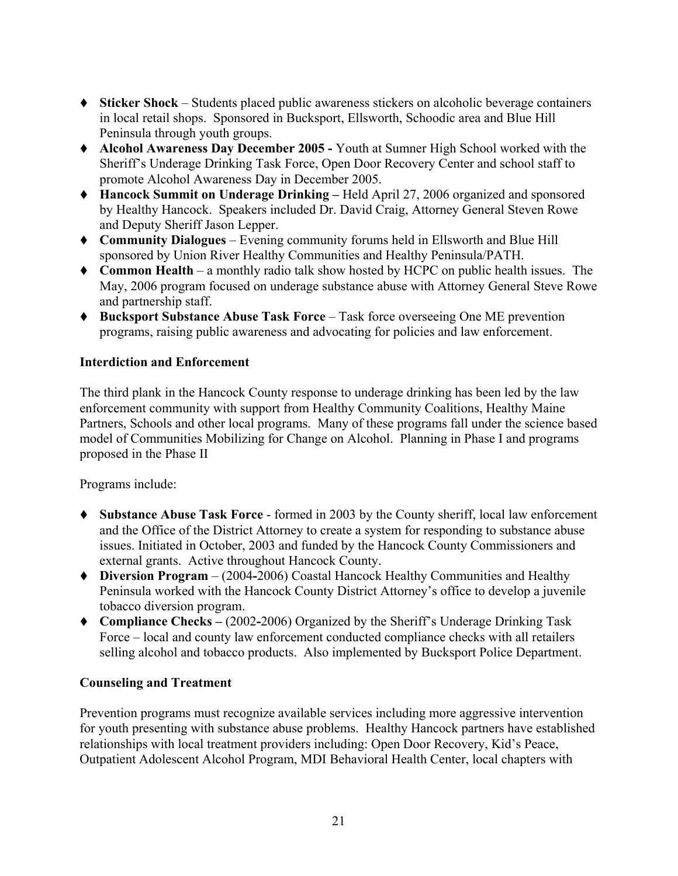- Sticker Shock Students placed public awareness stickers on alcoholic beverage containers in local retail shops. Sponsored in Bucksport, Ellsworth, Schoodic area and Blue Hill Peninsula through youth groups.
- Alcohol Awareness Day December 2005 Youth at Sumner High School worked with the Sheriff's Underage Drinking Task Force, Open Door Recovery Center and school staff to promote Alcohol Awareness Day in December 2005.
- Hancock Summit on Underage Drinking Held April 27, 2006 organized and sponsored by Healthy Hancock. Speakers included Dr. David Craig, Attorney General Steven Rowe and Deputy Sheriff Jason Lepper.
- Community Dialogues Evening community forums held in Ellsworth and Blue Hill sponsored by Union River Healthy Communities and Healthy Peninsula/PATH.
- Common Health a monthly radio talk show hosted by HCPC on public health issues. The May, 2006 program focused on underage substance abuse with Attorney General Steve Rowe and partnership staff.
- ◆ Bucksport Substance Abuse Task Force Task force overseeing One ME prevention programs, raising public awareness and advocating for policies and law enforcement.

### Interdiction and Enforcement

The third plank in the Hancock County response to underage drinking has been led by the law enforcement community with support from Healthy Community Coalitions, Healthy Maine Partners, Schools and other local programs. Many of these programs fall under the science based model of Communities Mobilizing for Change on Alcohol. Planning in Phase I and programs proposed in the Phase II

Programs include:

- Substance Abuse Task Force formed in 2003 by the County sheriff, local law enforcement and the Office of the District Attorney to create a system for responding to substance abuse issues. Initiated in October, 2003 and funded by the Hancock County Commissioners and external grants. Active throughout Hancock County.
- Diversion Program (2004-2006) Coastal Hancock Healthy Communities and Healthy Peninsula worked with the Hancock County District Attorney's office to develop a juvenile tobacco diversion program.
- Compliance Checks (2002-2006) Organized by the Sheriff's Underage Drinking Task Force – local and county law enforcement conducted compliance checks with all retailers selling alcohol and tobacco products. Also implemented by Bucksport Police Department.

### Counseling and Treatment

Prevention programs must recognize available services including more aggressive intervention for youth presenting with substance abuse problems. Healthy Hancock partners have established relationships with local treatment providers including: Open Door Recovery, Kid's Peace, Outpatient Adolescent Alcohol Program, MDI Behavioral Health Center, local chapters with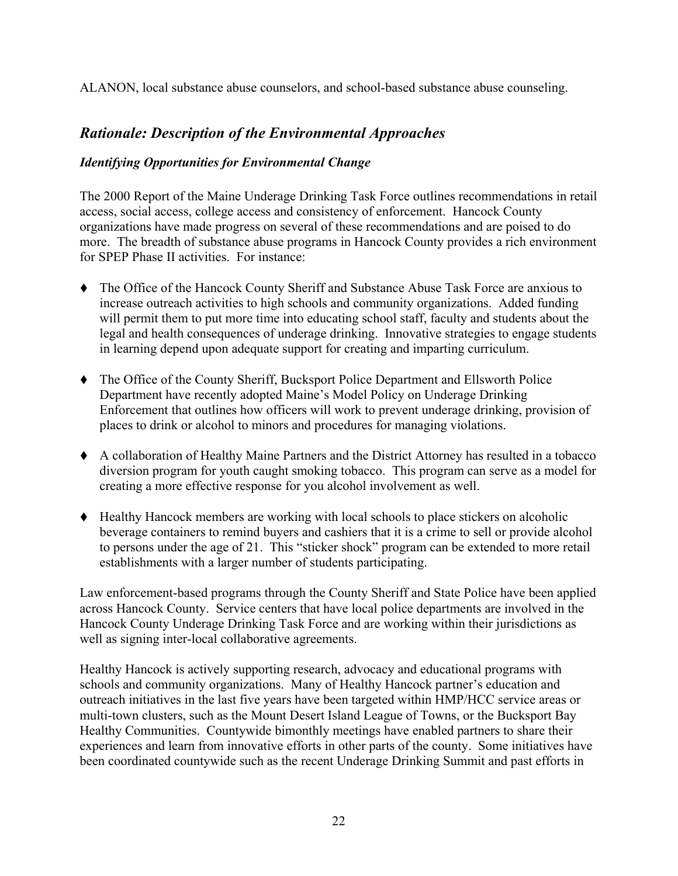ALANON, local substance abuse counselors, and school-based substance abuse counseling.

# Rationale: Description of the Environmental Approaches

### Identifying Opportunities for Environmental Change

The 2000 Report of the Maine Underage Drinking Task Force outlines recommendations in retail access, social access, college access and consistency of enforcement. Hancock County organizations have made progress on several of these recommendations and are poised to do more. The breadth of substance abuse programs in Hancock County provides a rich environment for SPEP Phase II activities. For instance:

- The Office of the Hancock County Sheriff and Substance Abuse Task Force are anxious to increase outreach activities to high schools and community organizations. Added funding will permit them to put more time into educating school staff, faculty and students about the legal and health consequences of underage drinking. Innovative strategies to engage students in learning depend upon adequate support for creating and imparting curriculum.
- The Office of the County Sheriff, Bucksport Police Department and Ellsworth Police Department have recently adopted Maine's Model Policy on Underage Drinking Enforcement that outlines how officers will work to prevent underage drinking, provision of places to drink or alcohol to minors and procedures for managing violations.
- A collaboration of Healthy Maine Partners and the District Attorney has resulted in a tobacco diversion program for youth caught smoking tobacco. This program can serve as a model for creating a more effective response for you alcohol involvement as well.
- Healthy Hancock members are working with local schools to place stickers on alcoholic beverage containers to remind buyers and cashiers that it is a crime to sell or provide alcohol to persons under the age of 21. This "sticker shock" program can be extended to more retail establishments with a larger number of students participating.

Law enforcement-based programs through the County Sheriff and State Police have been applied across Hancock County. Service centers that have local police departments are involved in the Hancock County Underage Drinking Task Force and are working within their jurisdictions as well as signing inter-local collaborative agreements.

Healthy Hancock is actively supporting research, advocacy and educational programs with schools and community organizations. Many of Healthy Hancock partner's education and outreach initiatives in the last five years have been targeted within HMP/HCC service areas or multi-town clusters, such as the Mount Desert Island League of Towns, or the Bucksport Bay Healthy Communities. Countywide bimonthly meetings have enabled partners to share their experiences and learn from innovative efforts in other parts of the county. Some initiatives have been coordinated countywide such as the recent Underage Drinking Summit and past efforts in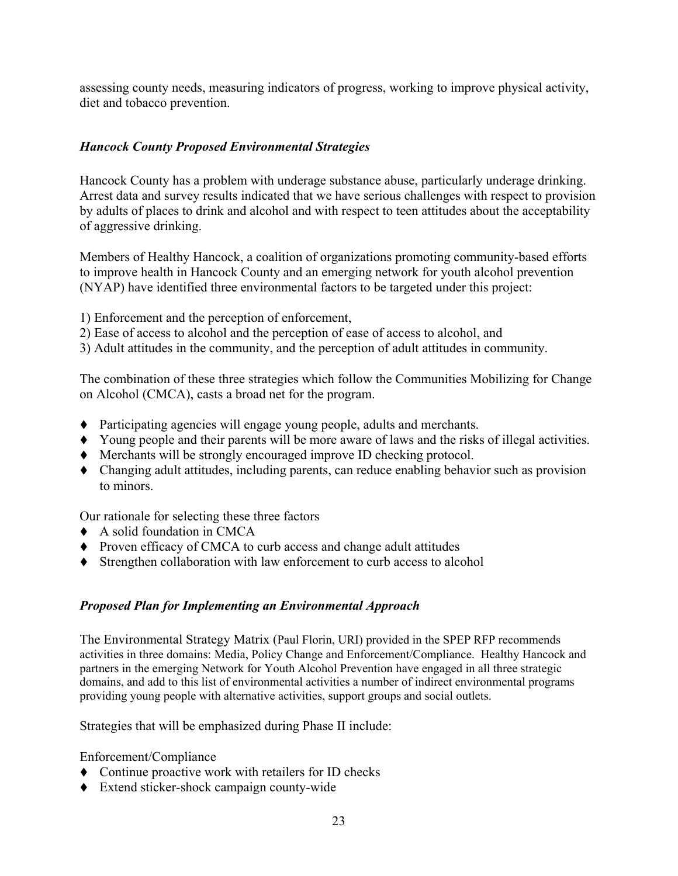assessing county needs, measuring indicators of progress, working to improve physical activity, diet and tobacco prevention.

### Hancock County Proposed Environmental Strategies

Hancock County has a problem with underage substance abuse, particularly underage drinking. Arrest data and survey results indicated that we have serious challenges with respect to provision by adults of places to drink and alcohol and with respect to teen attitudes about the acceptability of aggressive drinking.

Members of Healthy Hancock, a coalition of organizations promoting community-based efforts to improve health in Hancock County and an emerging network for youth alcohol prevention (NYAP) have identified three environmental factors to be targeted under this project:

- 1) Enforcement and the perception of enforcement,
- 2) Ease of access to alcohol and the perception of ease of access to alcohol, and

3) Adult attitudes in the community, and the perception of adult attitudes in community.

The combination of these three strategies which follow the Communities Mobilizing for Change on Alcohol (CMCA), casts a broad net for the program.

- Participating agencies will engage young people, adults and merchants.
- Young people and their parents will be more aware of laws and the risks of illegal activities.
- Merchants will be strongly encouraged improve ID checking protocol.
- Changing adult attitudes, including parents, can reduce enabling behavior such as provision to minors.

Our rationale for selecting these three factors

- A solid foundation in CMCA
- Proven efficacy of CMCA to curb access and change adult attitudes
- Strengthen collaboration with law enforcement to curb access to alcohol

### Proposed Plan for Implementing an Environmental Approach

The Environmental Strategy Matrix (Paul Florin, URI) provided in the SPEP RFP recommends activities in three domains: Media, Policy Change and Enforcement/Compliance. Healthy Hancock and partners in the emerging Network for Youth Alcohol Prevention have engaged in all three strategic domains, and add to this list of environmental activities a number of indirect environmental programs providing young people with alternative activities, support groups and social outlets.

Strategies that will be emphasized during Phase II include:

Enforcement/Compliance

- Continue proactive work with retailers for ID checks
- Extend sticker-shock campaign county-wide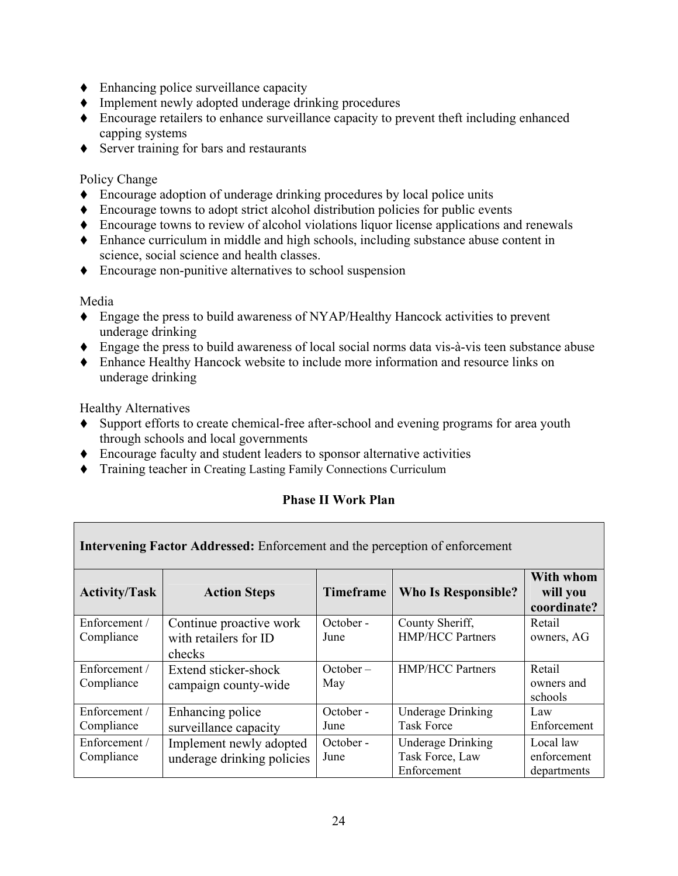- Enhancing police surveillance capacity
- Implement newly adopted underage drinking procedures
- Encourage retailers to enhance surveillance capacity to prevent theft including enhanced capping systems
- ◆ Server training for bars and restaurants

### Policy Change

- Encourage adoption of underage drinking procedures by local police units
- Encourage towns to adopt strict alcohol distribution policies for public events
- Encourage towns to review of alcohol violations liquor license applications and renewals
- Enhance curriculum in middle and high schools, including substance abuse content in science, social science and health classes.
- Encourage non-punitive alternatives to school suspension

### Media

- Engage the press to build awareness of NYAP/Healthy Hancock activities to prevent underage drinking
- Engage the press to build awareness of local social norms data vis-à-vis teen substance abuse
- Enhance Healthy Hancock website to include more information and resource links on underage drinking

Healthy Alternatives

- Support efforts to create chemical-free after-school and evening programs for area youth through schools and local governments
- Encourage faculty and student leaders to sponsor alternative activities
- Training teacher in Creating Lasting Family Connections Curriculum

### Phase II Work Plan

| <b>Intervening Factor Addressed:</b> Enforcement and the perception of enforcement |                                                            |                    |                                                            |                                         |  |
|------------------------------------------------------------------------------------|------------------------------------------------------------|--------------------|------------------------------------------------------------|-----------------------------------------|--|
| <b>Activity/Task</b>                                                               | <b>Action Steps</b>                                        | Timeframe          | <b>Who Is Responsible?</b>                                 | With whom<br>will you<br>coordinate?    |  |
| Enforcement /<br>Compliance                                                        | Continue proactive work<br>with retailers for ID<br>checks | October -<br>June  | County Sheriff,<br><b>HMP/HCC Partners</b>                 | Retail<br>owners, AG                    |  |
| Enforcement /<br>Compliance                                                        | Extend sticker-shock<br>campaign county-wide               | $October -$<br>May | <b>HMP/HCC Partners</b>                                    | Retail<br>owners and<br>schools         |  |
| Enforcement /<br>Compliance                                                        | Enhancing police<br>surveillance capacity                  | October -<br>June  | <b>Underage Drinking</b><br><b>Task Force</b>              | Law<br>Enforcement                      |  |
| Enforcement /<br>Compliance                                                        | Implement newly adopted<br>underage drinking policies      | October -<br>June  | <b>Underage Drinking</b><br>Task Force, Law<br>Enforcement | Local law<br>enforcement<br>departments |  |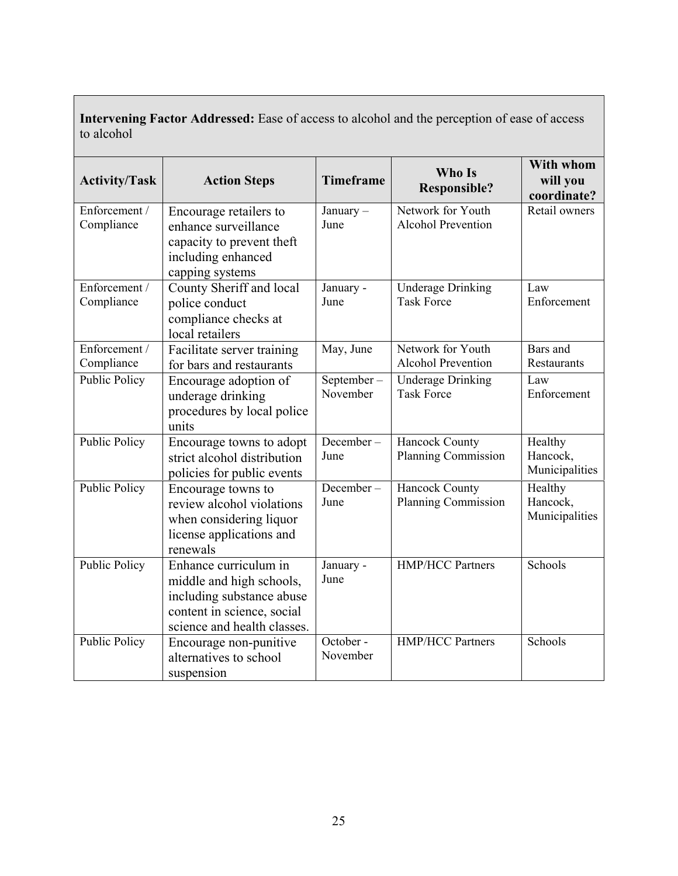| to alcohol                  |                                                                                                                                             |                        |                                                |                                       |
|-----------------------------|---------------------------------------------------------------------------------------------------------------------------------------------|------------------------|------------------------------------------------|---------------------------------------|
| <b>Activity/Task</b>        | <b>Action Steps</b>                                                                                                                         | <b>Timeframe</b>       | Who Is<br><b>Responsible?</b>                  | With whom<br>will you<br>coordinate?  |
| Enforcement /<br>Compliance | Encourage retailers to<br>enhance surveillance<br>capacity to prevent theft<br>including enhanced<br>capping systems                        | January-<br>June       | Network for Youth<br><b>Alcohol Prevention</b> | Retail owners                         |
| Enforcement /<br>Compliance | County Sheriff and local<br>police conduct<br>compliance checks at<br>local retailers                                                       | January -<br>June      | <b>Underage Drinking</b><br><b>Task Force</b>  | Law<br>Enforcement                    |
| Enforcement /<br>Compliance | Facilitate server training<br>for bars and restaurants                                                                                      | May, June              | Network for Youth<br><b>Alcohol Prevention</b> | Bars and<br>Restaurants               |
| <b>Public Policy</b>        | Encourage adoption of<br>underage drinking<br>procedures by local police<br>units                                                           | September-<br>November | <b>Underage Drinking</b><br><b>Task Force</b>  | Law<br>Enforcement                    |
| <b>Public Policy</b>        | Encourage towns to adopt<br>strict alcohol distribution<br>policies for public events                                                       | December-<br>June      | Hancock County<br><b>Planning Commission</b>   | Healthy<br>Hancock,<br>Municipalities |
| <b>Public Policy</b>        | Encourage towns to<br>review alcohol violations<br>when considering liquor<br>license applications and<br>renewals                          | December-<br>June      | <b>Hancock County</b><br>Planning Commission   | Healthy<br>Hancock,<br>Municipalities |
| <b>Public Policy</b>        | Enhance curriculum in<br>middle and high schools,<br>including substance abuse<br>content in science, social<br>science and health classes. | January -<br>June      | <b>HMP/HCC Partners</b>                        | Schools                               |
| <b>Public Policy</b>        | Encourage non-punitive<br>alternatives to school<br>suspension                                                                              | October -<br>November  | <b>HMP/HCC Partners</b>                        | Schools                               |

Intervening Factor Addressed: Ease of access to alcohol and the perception of ease of access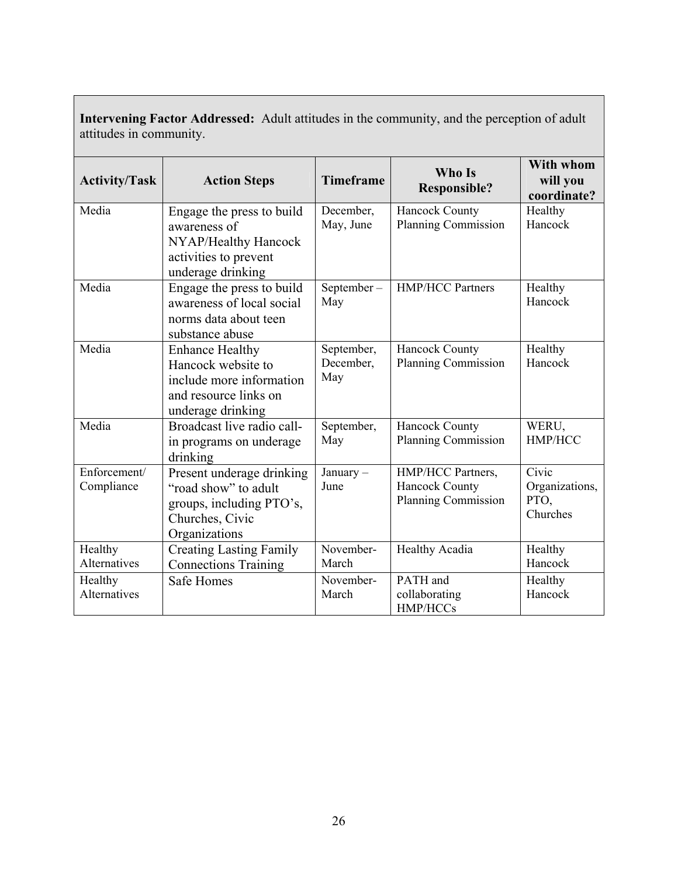| attitudes in community.        |                                                                                                                        |                                |                                                                   |                                             |  |
|--------------------------------|------------------------------------------------------------------------------------------------------------------------|--------------------------------|-------------------------------------------------------------------|---------------------------------------------|--|
| <b>Activity/Task</b>           | <b>Action Steps</b>                                                                                                    | <b>Timeframe</b>               | Who Is<br><b>Responsible?</b>                                     | <b>With whom</b><br>will you<br>coordinate? |  |
| Media                          | Engage the press to build<br>awareness of<br>NYAP/Healthy Hancock<br>activities to prevent<br>underage drinking        | December,<br>May, June         | Hancock County<br><b>Planning Commission</b>                      | Healthy<br>Hancock                          |  |
| Media                          | Engage the press to build<br>awareness of local social<br>norms data about teen<br>substance abuse                     | September-<br>May              | <b>HMP/HCC Partners</b>                                           | Healthy<br>Hancock                          |  |
| Media                          | <b>Enhance Healthy</b><br>Hancock website to<br>include more information<br>and resource links on<br>underage drinking | September,<br>December,<br>May | <b>Hancock County</b><br><b>Planning Commission</b>               | Healthy<br>Hancock                          |  |
| Media                          | Broadcast live radio call-<br>in programs on underage<br>drinking                                                      | September,<br>May              | Hancock County<br><b>Planning Commission</b>                      | WERU,<br>HMP/HCC                            |  |
| Enforcement/<br>Compliance     | Present underage drinking<br>"road show" to adult<br>groups, including PTO's,<br>Churches, Civic<br>Organizations      | January -<br>June              | HMP/HCC Partners,<br><b>Hancock County</b><br>Planning Commission | Civic<br>Organizations,<br>PTO,<br>Churches |  |
| Healthy<br><b>Alternatives</b> | <b>Creating Lasting Family</b><br><b>Connections Training</b>                                                          | November-<br>March             | Healthy Acadia                                                    | Healthy<br>Hancock                          |  |
| Healthy<br><b>Alternatives</b> | <b>Safe Homes</b>                                                                                                      | November-<br>March             | PATH and<br>collaborating<br>HMP/HCCs                             | Healthy<br>Hancock                          |  |

Intervening Factor Addressed: Adult attitudes in the community, and the perception of adult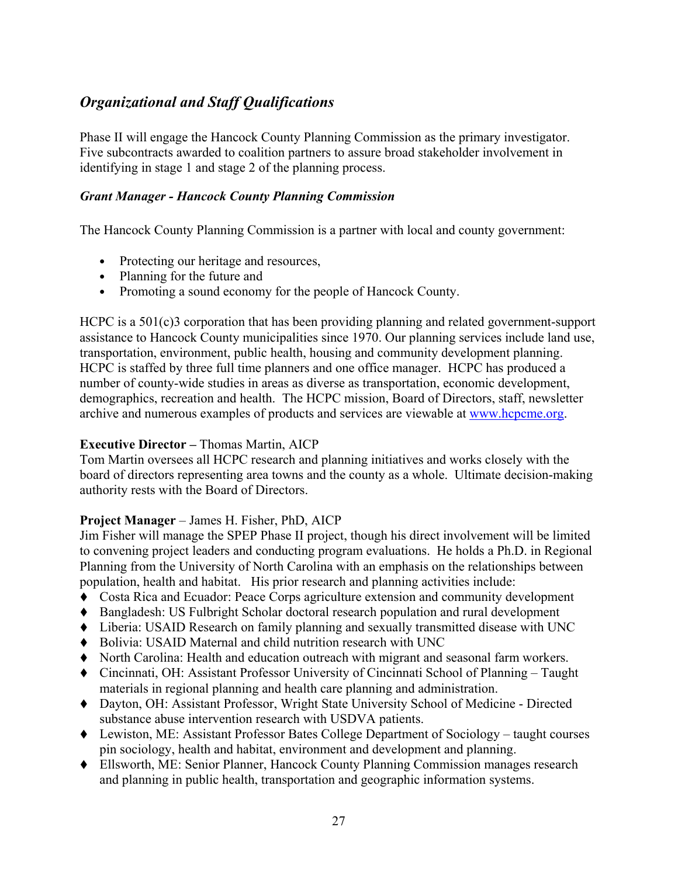# Organizational and Staff Qualifications

Phase II will engage the Hancock County Planning Commission as the primary investigator. Five subcontracts awarded to coalition partners to assure broad stakeholder involvement in identifying in stage 1 and stage 2 of the planning process.

### Grant Manager - Hancock County Planning Commission

The Hancock County Planning Commission is a partner with local and county government:

- Protecting our heritage and resources,
- Planning for the future and
- Promoting a sound economy for the people of Hancock County.

HCPC is a 501(c)3 corporation that has been providing planning and related government-support assistance to Hancock County municipalities since 1970. Our planning services include land use, transportation, environment, public health, housing and community development planning. HCPC is staffed by three full time planners and one office manager. HCPC has produced a number of county-wide studies in areas as diverse as transportation, economic development, demographics, recreation and health. The HCPC mission, Board of Directors, staff, newsletter archive and numerous examples of products and services are viewable at www.hcpcme.org.

### Executive Director – Thomas Martin, AICP

Tom Martin oversees all HCPC research and planning initiatives and works closely with the board of directors representing area towns and the county as a whole. Ultimate decision-making authority rests with the Board of Directors.

### Project Manager – James H. Fisher, PhD, AICP

Jim Fisher will manage the SPEP Phase II project, though his direct involvement will be limited to convening project leaders and conducting program evaluations. He holds a Ph.D. in Regional Planning from the University of North Carolina with an emphasis on the relationships between population, health and habitat. His prior research and planning activities include:

- Costa Rica and Ecuador: Peace Corps agriculture extension and community development
- Bangladesh: US Fulbright Scholar doctoral research population and rural development
- Liberia: USAID Research on family planning and sexually transmitted disease with UNC
- Bolivia: USAID Maternal and child nutrition research with UNC
- North Carolina: Health and education outreach with migrant and seasonal farm workers.
- Cincinnati, OH: Assistant Professor University of Cincinnati School of Planning Taught materials in regional planning and health care planning and administration.
- Dayton, OH: Assistant Professor, Wright State University School of Medicine Directed substance abuse intervention research with USDVA patients.
- Lewiston, ME: Assistant Professor Bates College Department of Sociology taught courses pin sociology, health and habitat, environment and development and planning.
- Ellsworth, ME: Senior Planner, Hancock County Planning Commission manages research and planning in public health, transportation and geographic information systems.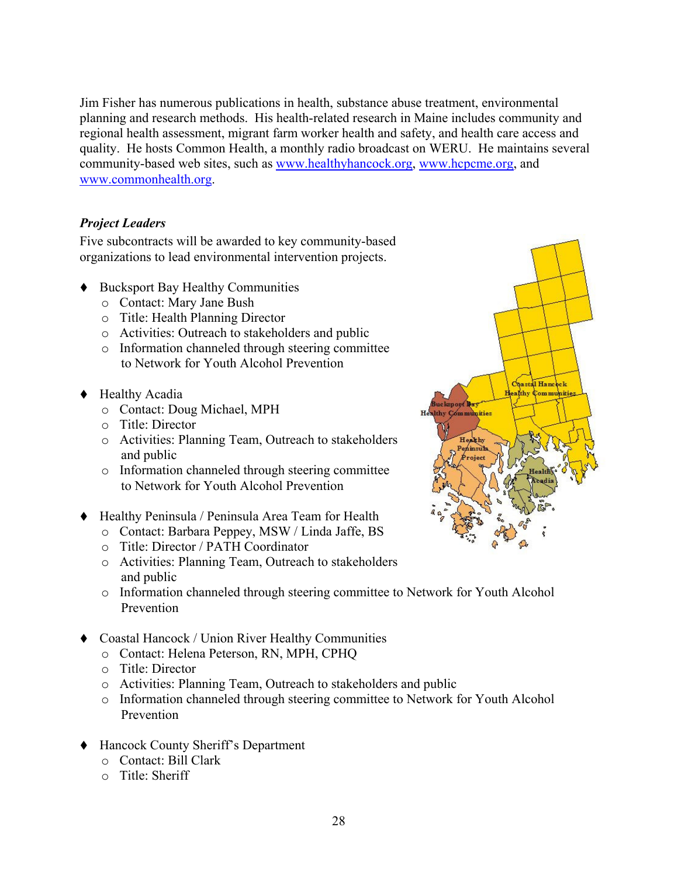Jim Fisher has numerous publications in health, substance abuse treatment, environmental planning and research methods. His health-related research in Maine includes community and regional health assessment, migrant farm worker health and safety, and health care access and quality. He hosts Common Health, a monthly radio broadcast on WERU. He maintains several community-based web sites, such as www.healthyhancock.org, www.hcpcme.org, and www.commonhealth.org.

### Project Leaders

Five subcontracts will be awarded to key community-based organizations to lead environmental intervention projects.

- Bucksport Bay Healthy Communities
	- o Contact: Mary Jane Bush
	- o Title: Health Planning Director
	- o Activities: Outreach to stakeholders and public
	- o Information channeled through steering committee to Network for Youth Alcohol Prevention
- ◆ Healthy Acadia
	- o Contact: Doug Michael, MPH
	- o Title: Director
	- o Activities: Planning Team, Outreach to stakeholders and public
	- o Information channeled through steering committee to Network for Youth Alcohol Prevention
- Healthy Peninsula / Peninsula Area Team for Health
	- o Contact: Barbara Peppey, MSW / Linda Jaffe, BS
	- o Title: Director / PATH Coordinator
	- o Activities: Planning Team, Outreach to stakeholders and public
	- o Information channeled through steering committee to Network for Youth Alcohol Prevention
- Coastal Hancock / Union River Healthy Communities
	- o Contact: Helena Peterson, RN, MPH, CPHQ
	- o Title: Director
	- o Activities: Planning Team, Outreach to stakeholders and public
	- o Information channeled through steering committee to Network for Youth Alcohol Prevention
- Hancock County Sheriff's Department
	- o Contact: Bill Clark
	- o Title: Sheriff

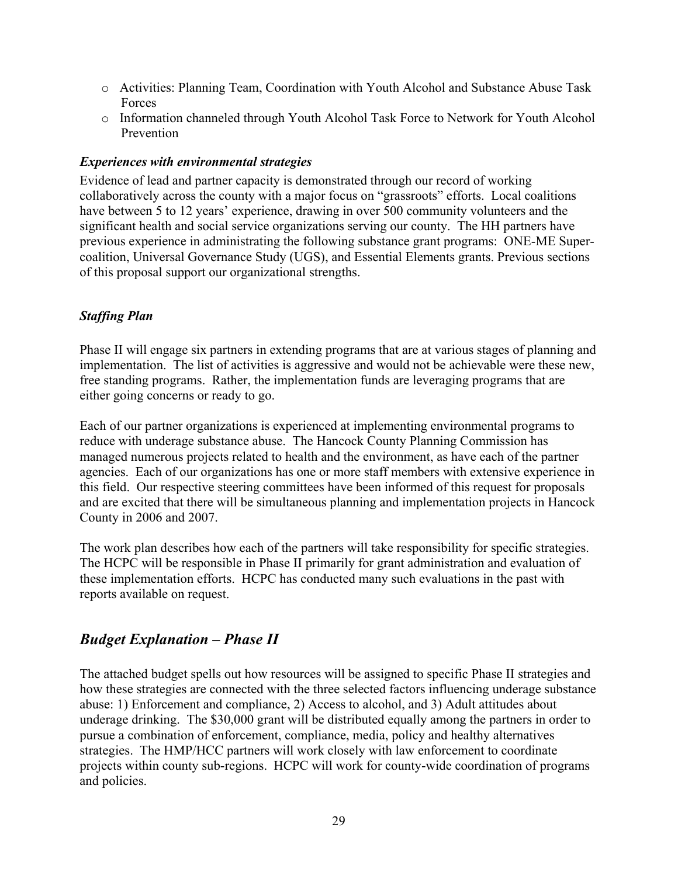- o Activities: Planning Team, Coordination with Youth Alcohol and Substance Abuse Task Forces
- o Information channeled through Youth Alcohol Task Force to Network for Youth Alcohol Prevention

#### Experiences with environmental strategies

Evidence of lead and partner capacity is demonstrated through our record of working collaboratively across the county with a major focus on "grassroots" efforts. Local coalitions have between 5 to 12 years' experience, drawing in over 500 community volunteers and the significant health and social service organizations serving our county. The HH partners have previous experience in administrating the following substance grant programs: ONE-ME Supercoalition, Universal Governance Study (UGS), and Essential Elements grants. Previous sections of this proposal support our organizational strengths.

### Staffing Plan

Phase II will engage six partners in extending programs that are at various stages of planning and implementation. The list of activities is aggressive and would not be achievable were these new, free standing programs. Rather, the implementation funds are leveraging programs that are either going concerns or ready to go.

Each of our partner organizations is experienced at implementing environmental programs to reduce with underage substance abuse. The Hancock County Planning Commission has managed numerous projects related to health and the environment, as have each of the partner agencies. Each of our organizations has one or more staff members with extensive experience in this field. Our respective steering committees have been informed of this request for proposals and are excited that there will be simultaneous planning and implementation projects in Hancock County in 2006 and 2007.

The work plan describes how each of the partners will take responsibility for specific strategies. The HCPC will be responsible in Phase II primarily for grant administration and evaluation of these implementation efforts. HCPC has conducted many such evaluations in the past with reports available on request.

### Budget Explanation – Phase II

The attached budget spells out how resources will be assigned to specific Phase II strategies and how these strategies are connected with the three selected factors influencing underage substance abuse: 1) Enforcement and compliance, 2) Access to alcohol, and 3) Adult attitudes about underage drinking. The \$30,000 grant will be distributed equally among the partners in order to pursue a combination of enforcement, compliance, media, policy and healthy alternatives strategies. The HMP/HCC partners will work closely with law enforcement to coordinate projects within county sub-regions. HCPC will work for county-wide coordination of programs and policies.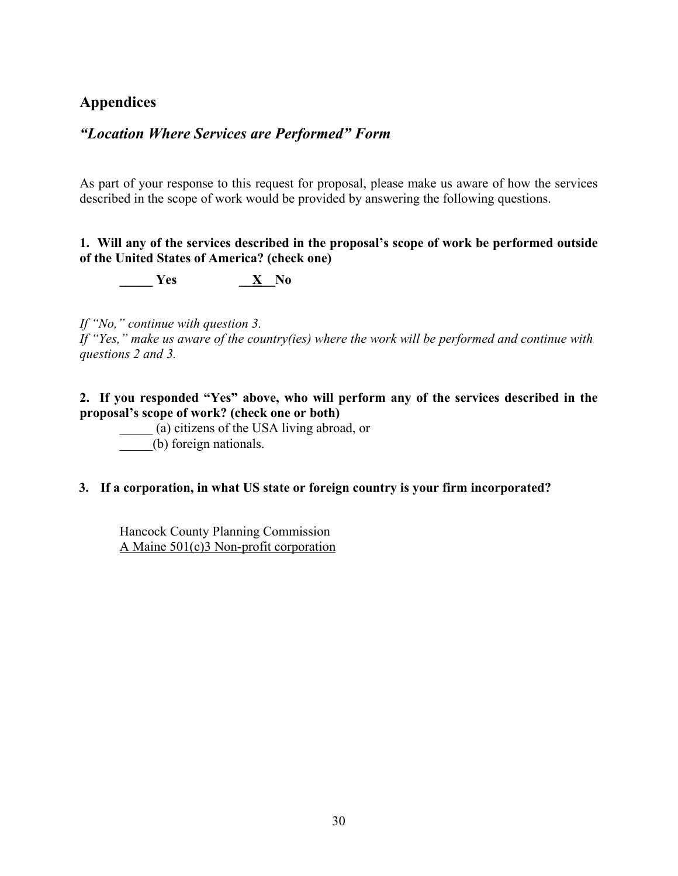# Appendices

### "Location Where Services are Performed" Form

As part of your response to this request for proposal, please make us aware of how the services described in the scope of work would be provided by answering the following questions.

#### 1. Will any of the services described in the proposal's scope of work be performed outside of the United States of America? (check one)

 $\frac{X}{Y}$  Yes  $\frac{X}{Y}$  No

If "No," continue with question 3.

If "Yes," make us aware of the country(ies) where the work will be performed and continue with questions 2 and 3.

2. If you responded "Yes" above, who will perform any of the services described in the proposal's scope of work? (check one or both)

\_\_\_\_\_ (a) citizens of the USA living abroad, or \_\_\_\_\_(b) foreign nationals.

### 3. If a corporation, in what US state or foreign country is your firm incorporated?

Hancock County Planning Commission A Maine 501(c)3 Non-profit corporation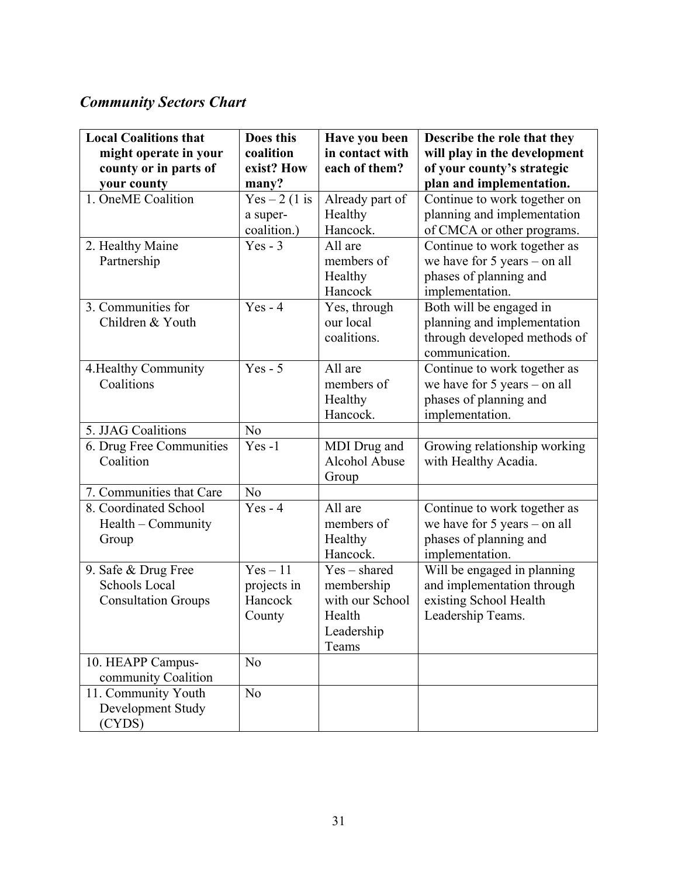# Community Sectors Chart

| <b>Local Coalitions that</b>      | Does this                | Have you been       | Describe the role that they                                      |
|-----------------------------------|--------------------------|---------------------|------------------------------------------------------------------|
| might operate in your             | coalition                | in contact with     | will play in the development                                     |
| county or in parts of             | exist? How               | each of them?       | of your county's strategic                                       |
| your county<br>1. OneME Coalition | many?                    |                     | plan and implementation.                                         |
|                                   | $Yes - 2$ (1 is          | Already part of     | Continue to work together on                                     |
|                                   | a super-                 | Healthy<br>Hancock. | planning and implementation                                      |
|                                   | coalition.)<br>$Yes - 3$ | All are             | of CMCA or other programs.                                       |
| 2. Healthy Maine<br>Partnership   |                          | members of          | Continue to work together as<br>we have for $5$ years $-$ on all |
|                                   |                          | Healthy             | phases of planning and                                           |
|                                   |                          | Hancock             | implementation.                                                  |
| 3. Communities for                | $Yes - 4$                | Yes, through        | Both will be engaged in                                          |
| Children & Youth                  |                          | our local           | planning and implementation                                      |
|                                   |                          | coalitions.         | through developed methods of                                     |
|                                   |                          |                     | communication.                                                   |
| 4. Healthy Community              | $Yes - 5$                | All are             | Continue to work together as                                     |
| Coalitions                        |                          | members of          | we have for $5$ years $-$ on all                                 |
|                                   |                          | Healthy             | phases of planning and                                           |
|                                   |                          | Hancock.            | implementation.                                                  |
| 5. JJAG Coalitions                | N <sub>0</sub>           |                     |                                                                  |
| 6. Drug Free Communities          | $Yes -1$                 | MDI Drug and        | Growing relationship working                                     |
| Coalition                         |                          | Alcohol Abuse       | with Healthy Acadia.                                             |
|                                   |                          | Group               |                                                                  |
| 7. Communities that Care          | N <sub>o</sub>           |                     |                                                                  |
| 8. Coordinated School             | $Yes - 4$                | All are             | Continue to work together as                                     |
| Health – Community                |                          | members of          | we have for $5$ years $-$ on all                                 |
| Group                             |                          | Healthy             | phases of planning and                                           |
|                                   |                          | Hancock.            | implementation.                                                  |
| 9. Safe & Drug Free               | $Yes - 11$               | $Yes - shared$      | Will be engaged in planning                                      |
| <b>Schools Local</b>              | projects in              | membership          | and implementation through                                       |
| <b>Consultation Groups</b>        | Hancock                  | with our School     | existing School Health                                           |
|                                   | County                   | Health              | Leadership Teams.                                                |
|                                   |                          | Leadership          |                                                                  |
| 10. HEAPP Campus-                 | N <sub>o</sub>           | Teams               |                                                                  |
| community Coalition               |                          |                     |                                                                  |
| 11. Community Youth               | N <sub>o</sub>           |                     |                                                                  |
| Development Study                 |                          |                     |                                                                  |
| (CYDS)                            |                          |                     |                                                                  |
|                                   |                          |                     |                                                                  |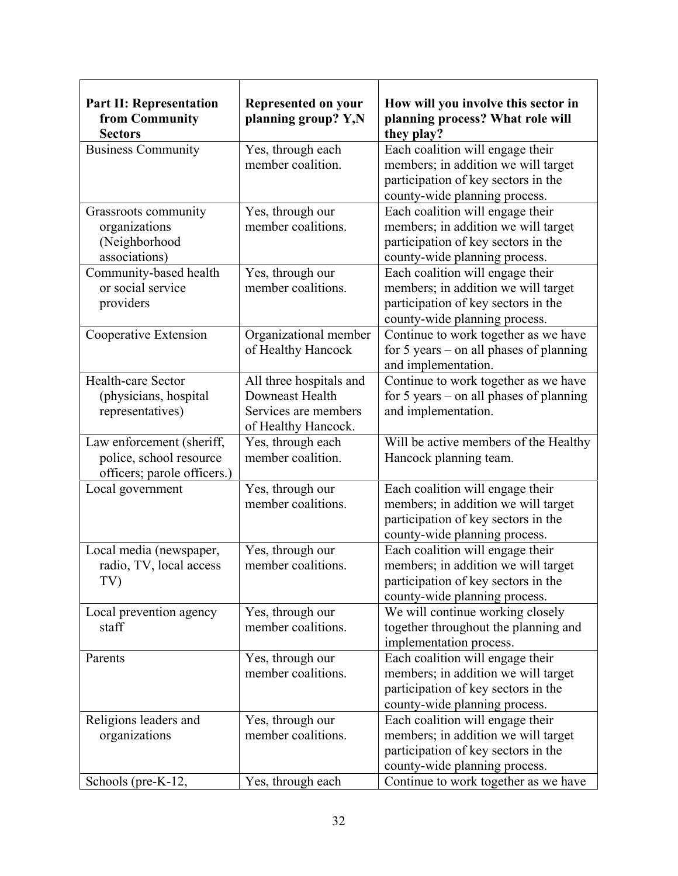| <b>Part II: Representation</b><br>from Community<br><b>Sectors</b>                  | <b>Represented on your</b><br>planning group? Y,N                                         | How will you involve this sector in<br>planning process? What role will<br>they play?                                                           |
|-------------------------------------------------------------------------------------|-------------------------------------------------------------------------------------------|-------------------------------------------------------------------------------------------------------------------------------------------------|
| <b>Business Community</b>                                                           | Yes, through each<br>member coalition.                                                    | Each coalition will engage their<br>members; in addition we will target<br>participation of key sectors in the<br>county-wide planning process. |
| Grassroots community<br>organizations<br>(Neighborhood<br>associations)             | Yes, through our<br>member coalitions.                                                    | Each coalition will engage their<br>members; in addition we will target<br>participation of key sectors in the<br>county-wide planning process. |
| Community-based health<br>or social service<br>providers                            | Yes, through our<br>member coalitions.                                                    | Each coalition will engage their<br>members; in addition we will target<br>participation of key sectors in the<br>county-wide planning process. |
| Cooperative Extension                                                               | Organizational member<br>of Healthy Hancock                                               | Continue to work together as we have<br>for $5$ years – on all phases of planning<br>and implementation.                                        |
| Health-care Sector<br>(physicians, hospital<br>representatives)                     | All three hospitals and<br>Downeast Health<br>Services are members<br>of Healthy Hancock. | Continue to work together as we have<br>for $5$ years – on all phases of planning<br>and implementation.                                        |
| Law enforcement (sheriff,<br>police, school resource<br>officers; parole officers.) | Yes, through each<br>member coalition.                                                    | Will be active members of the Healthy<br>Hancock planning team.                                                                                 |
| Local government                                                                    | Yes, through our<br>member coalitions.                                                    | Each coalition will engage their<br>members; in addition we will target<br>participation of key sectors in the<br>county-wide planning process. |
| Local media (newspaper,<br>radio, TV, local access<br>TV)                           | Yes, through our<br>member coalitions.                                                    | Each coalition will engage their<br>members; in addition we will target<br>participation of key sectors in the<br>county-wide planning process. |
| Local prevention agency<br>staff                                                    | Yes, through our<br>member coalitions.                                                    | We will continue working closely<br>together throughout the planning and<br>implementation process.                                             |
| Parents                                                                             | Yes, through our<br>member coalitions.                                                    | Each coalition will engage their<br>members; in addition we will target<br>participation of key sectors in the<br>county-wide planning process. |
| Religions leaders and<br>organizations                                              | Yes, through our<br>member coalitions.                                                    | Each coalition will engage their<br>members; in addition we will target<br>participation of key sectors in the<br>county-wide planning process. |
| Schools (pre-K-12,                                                                  | Yes, through each                                                                         | Continue to work together as we have                                                                                                            |